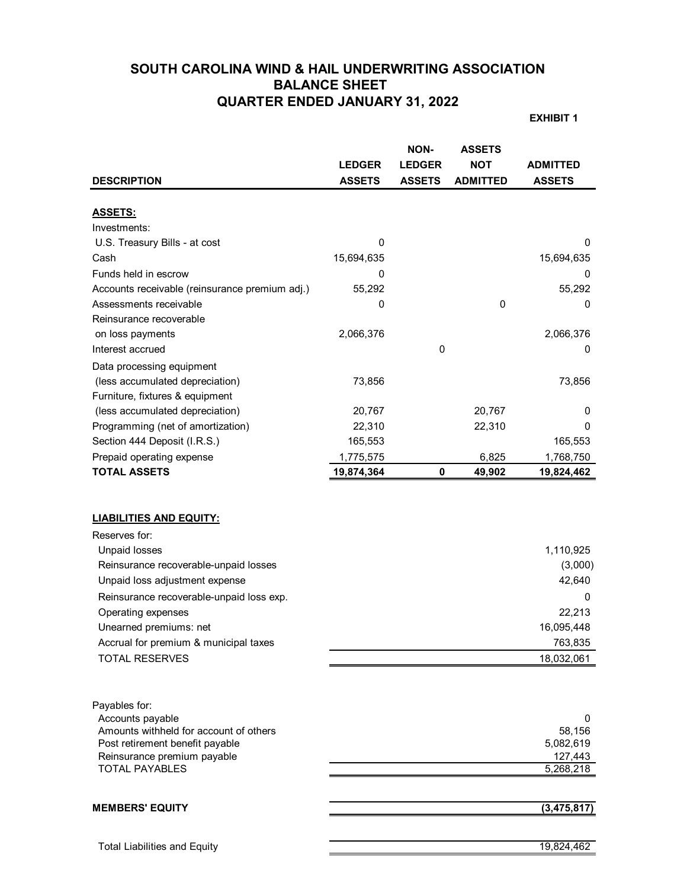# **SOUTH CAROLINA WIND & HAIL UNDERWRITING ASSOCIATION BALANCE SHEET QUARTER ENDED JANUARY 31, 2022**

**EXHIBIT 1**

|                                                |               | <b>NON-</b>   | <b>ASSETS</b>   |                 |
|------------------------------------------------|---------------|---------------|-----------------|-----------------|
|                                                | <b>LEDGER</b> | <b>LEDGER</b> | <b>NOT</b>      | <b>ADMITTED</b> |
| <b>DESCRIPTION</b>                             | <b>ASSETS</b> | <b>ASSETS</b> | <b>ADMITTED</b> | <b>ASSETS</b>   |
|                                                |               |               |                 |                 |
| <b>ASSETS:</b>                                 |               |               |                 |                 |
| Investments:                                   |               |               |                 |                 |
| U.S. Treasury Bills - at cost                  | 0             |               |                 | 0               |
| Cash                                           | 15,694,635    |               |                 | 15,694,635      |
| Funds held in escrow                           | 0             |               |                 | O               |
| Accounts receivable (reinsurance premium adj.) | 55,292        |               |                 | 55,292          |
| Assessments receivable                         | 0             |               | 0               | 0               |
| Reinsurance recoverable                        |               |               |                 |                 |
| on loss payments                               | 2,066,376     |               |                 | 2,066,376       |
| Interest accrued                               |               | 0             |                 | 0               |
| Data processing equipment                      |               |               |                 |                 |
| (less accumulated depreciation)                | 73,856        |               |                 | 73,856          |
| Furniture, fixtures & equipment                |               |               |                 |                 |
| (less accumulated depreciation)                | 20,767        |               | 20,767          | 0               |
| Programming (net of amortization)              | 22,310        |               | 22,310          | 0               |
| Section 444 Deposit (I.R.S.)                   | 165,553       |               |                 | 165,553         |
| Prepaid operating expense                      | 1,775,575     |               | 6,825           | 1,768,750       |
| <b>TOTAL ASSETS</b>                            | 19,874,364    | 0             | 49,902          | 19,824,462      |
|                                                |               |               |                 |                 |
|                                                |               |               |                 |                 |
| <b>LIABILITIES AND EQUITY:</b>                 |               |               |                 |                 |
| Reserves for:                                  |               |               |                 |                 |
| Unpaid losses                                  |               |               |                 | 1,110,925       |
| Reinsurance recoverable-unpaid losses          |               |               |                 | (3,000)         |
| Unpaid loss adjustment expense                 |               |               |                 | 42,640          |
| Reinsurance recoverable-unpaid loss exp.       |               |               |                 | 0               |
| Operating expenses                             |               |               |                 | 22,213          |
| Unearned premiums: net                         |               |               |                 | 16,095,448      |
| Accrual for premium & municipal taxes          |               |               |                 | 763,835         |
| <b>TOTAL RESERVES</b>                          |               |               |                 | 18,032,061      |
|                                                |               |               |                 |                 |
|                                                |               |               |                 |                 |
| Payables for:                                  |               |               |                 |                 |
| Accounts payable                               |               |               |                 | 0               |
| Amounts withheld for account of others         |               |               |                 | 58,156          |
| Post retirement benefit payable                |               |               |                 | 5,082,619       |
| Reinsurance premium payable                    |               |               |                 | 127,443         |
| <b>TOTAL PAYABLES</b>                          |               |               |                 | 5,268,218       |
|                                                |               |               |                 |                 |
| <b>MEMBERS' EQUITY</b>                         |               |               |                 | (3, 475, 817)   |
|                                                |               |               |                 |                 |
| <b>Total Liabilities and Equity</b>            |               |               |                 | 19,824,462      |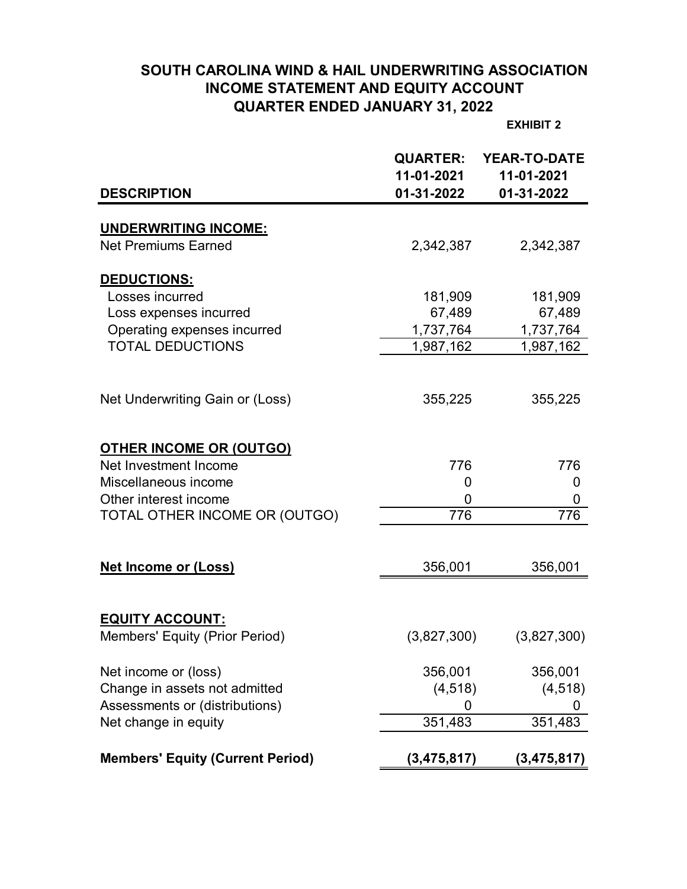# **SOUTH CAROLINA WIND & HAIL UNDERWRITING ASSOCIATION INCOME STATEMENT AND EQUITY ACCOUNT QUARTER ENDED JANUARY 31, 2022**

**EXHIBIT 2**

|                                                           | <b>QUARTER:</b><br>11-01-2021 | <b>YEAR-TO-DATE</b><br>11-01-2021 |
|-----------------------------------------------------------|-------------------------------|-----------------------------------|
| <b>DESCRIPTION</b>                                        | 01-31-2022                    | 01-31-2022                        |
|                                                           |                               |                                   |
| <b>UNDERWRITING INCOME:</b><br><b>Net Premiums Earned</b> | 2,342,387                     | 2,342,387                         |
|                                                           |                               |                                   |
| DEDUCTIONS:                                               |                               |                                   |
| Losses incurred                                           | 181,909                       | 181,909                           |
| Loss expenses incurred                                    | 67,489                        | 67,489                            |
| Operating expenses incurred                               | 1,737,764                     | 1,737,764                         |
| <b>TOTAL DEDUCTIONS</b>                                   | 1,987,162                     | 1,987,162                         |
|                                                           |                               |                                   |
| Net Underwriting Gain or (Loss)                           | 355,225                       | 355,225                           |
|                                                           |                               |                                   |
|                                                           |                               |                                   |
| <b>OTHER INCOME OR (OUTGO)</b>                            |                               |                                   |
| Net Investment Income                                     | 776                           | 776                               |
| Miscellaneous income                                      | 0                             | 0                                 |
| Other interest income                                     | 0<br>776                      | 0<br>776                          |
| TOTAL OTHER INCOME OR (OUTGO)                             |                               |                                   |
|                                                           |                               |                                   |
| <b>Net Income or (Loss)</b>                               | 356,001                       | 356,001                           |
|                                                           |                               |                                   |
| <b>EQUITY ACCOUNT:</b>                                    |                               |                                   |
| Members' Equity (Prior Period)                            | (3,827,300)                   | (3,827,300)                       |
|                                                           |                               |                                   |
| Net income or (loss)                                      | 356,001                       | 356,001                           |
| Change in assets not admitted                             | (4, 518)                      | (4, 518)                          |
| Assessments or (distributions)                            | 0                             | U                                 |
| Net change in equity                                      | 351,483                       | 351,483                           |
|                                                           |                               |                                   |
| <b>Members' Equity (Current Period)</b>                   | (3,475,817)                   | (3,475,817)                       |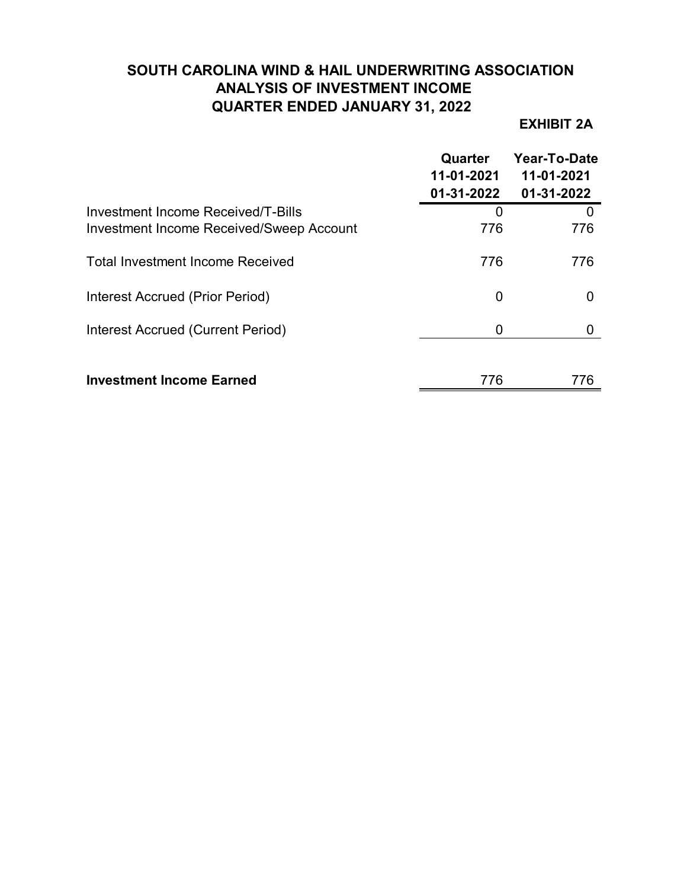# **SOUTH CAROLINA WIND & HAIL UNDERWRITING ASSOCIATION ANALYSIS OF INVESTMENT INCOME QUARTER ENDED JANUARY 31, 2022**

## **EXHIBIT 2A**

|                                                                                       | Quarter<br>11-01-2021<br>01-31-2022 | Year-To-Date<br>11-01-2021<br>01-31-2022 |
|---------------------------------------------------------------------------------------|-------------------------------------|------------------------------------------|
| Investment Income Received/T-Bills<br><b>Investment Income Received/Sweep Account</b> | O<br>776                            | $\mathbf{\Omega}$<br>776                 |
| <b>Total Investment Income Received</b>                                               | 776                                 | 776                                      |
| Interest Accrued (Prior Period)                                                       | 0                                   | 0                                        |
| Interest Accrued (Current Period)                                                     | 0                                   |                                          |
| <b>Investment Income Earned</b>                                                       | 776                                 | 776                                      |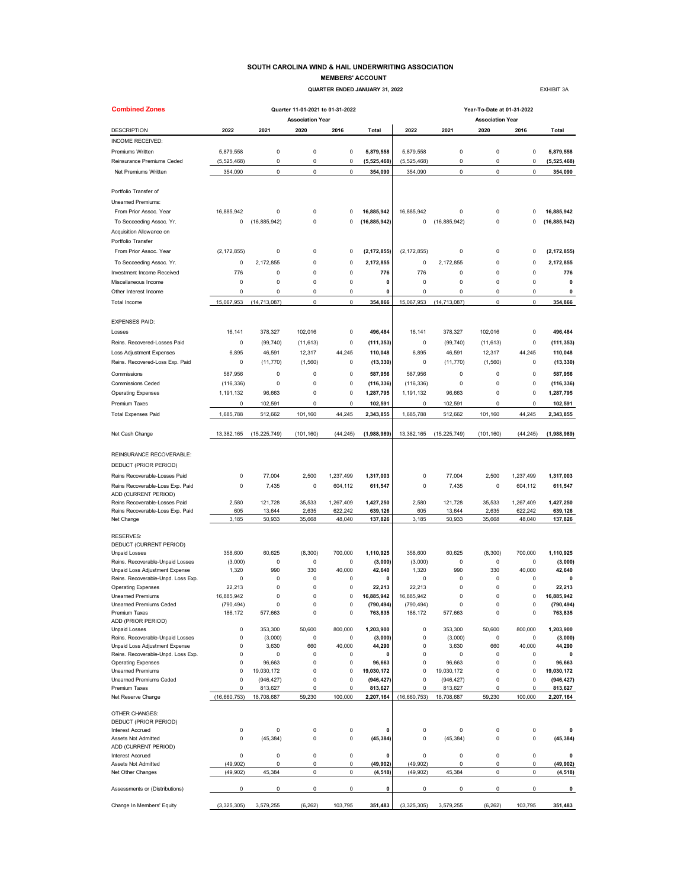#### **SOUTH CAROLINA WIND & HAIL UNDERWRITING ASSOCIATION MEMBERS' ACCOUNT**

 **QUARTER ENDED JANUARY 31, 2022 EXHIBIT 3A** 

| <b>Combined Zones</b>                                 |                       |                      | Quarter 11-01-2021 to 01-31-2022 |                      |                       | Year-To-Date at 01-31-2022 |                      |                            |                      |                       |
|-------------------------------------------------------|-----------------------|----------------------|----------------------------------|----------------------|-----------------------|----------------------------|----------------------|----------------------------|----------------------|-----------------------|
|                                                       |                       |                      | <b>Association Year</b>          |                      |                       |                            |                      | <b>Association Year</b>    |                      |                       |
| <b>DESCRIPTION</b>                                    | 2022                  | 2021                 | 2020                             | 2016                 | Total                 | 2022                       | 2021                 | 2020                       | 2016                 | <b>Total</b>          |
| INCOME RECEIVED:                                      |                       |                      |                                  |                      |                       |                            |                      |                            |                      |                       |
| Premiums Written                                      | 5,879,558             | 0                    | $\pmb{0}$                        | 0                    | 5,879,558             | 5,879,558                  | 0                    | 0                          | 0                    | 5,879,558             |
| Reinsurance Premiums Ceded                            | (5, 525, 468)         | 0                    | $\mathbf 0$                      | 0                    | (5, 525, 468)         | (5, 525, 468)              | 0                    | $\pmb{0}$                  | 0                    | (5,525,468)           |
| Net Premiums Written                                  | 354,090               | 0                    | $\mathbf 0$                      | 0                    | 354,090               | 354,090                    | 0                    | $\pmb{0}$                  | $\pmb{0}$            | 354,090               |
| Portfolio Transfer of                                 |                       |                      |                                  |                      |                       |                            |                      |                            |                      |                       |
| <b>Unearned Premiums:</b>                             |                       |                      |                                  |                      |                       |                            |                      |                            |                      |                       |
| From Prior Assoc. Year                                | 16,885,942            | 0                    | $\mathbf 0$                      | 0                    | 16,885,942            | 16,885,942                 | 0                    | $\pmb{0}$                  | $\Omega$             | 16,885,942            |
| To Secceeding Assoc. Yr.<br>Acquisition Allowance on  | 0                     | (16, 885, 942)       | $\mathbf 0$                      | 0                    | (16, 885, 942)        | 0                          | (16, 885, 942)       | $\pmb{0}$                  | 0                    | (16, 885, 942)        |
| Portfolio Transfer                                    |                       |                      |                                  |                      |                       |                            |                      |                            |                      |                       |
| From Prior Assoc. Year                                | (2, 172, 855)         | 0                    | 0                                | 0                    | (2, 172, 855)         | (2, 172, 855)              | 0                    | 0                          | 0                    | (2, 172, 855)         |
| To Secceeding Assoc. Yr.                              | 0                     | 2,172,855            | 0                                | 0                    | 2,172,855             | 0                          | 2,172,855            | 0                          | 0                    | 2,172,855             |
| Investment Income Received                            | 776                   | 0                    | $\mathbf 0$                      | 0                    | 776                   | 776                        | 0                    | $\pmb{0}$                  | $\mathbf 0$          | 776                   |
| Miscellaneous Income                                  | 0                     | 0                    | 0                                | 0                    | 0                     | 0                          | 0                    | $\pmb{0}$                  | 0                    | 0                     |
| Other Interest Income                                 | 0                     | 0                    | 0                                | 0                    | 0                     | 0                          | 0                    | 0                          | 0                    | 0                     |
| <b>Total Income</b>                                   | 15,067,953            | (14, 713, 087)       | 0                                | 0                    | 354,866               | 15,067,953                 | (14, 713, 087)       | $\mathsf 0$                | 0                    | 354,866               |
|                                                       |                       |                      |                                  |                      |                       |                            |                      |                            |                      |                       |
| <b>EXPENSES PAID:</b>                                 |                       |                      |                                  |                      |                       |                            |                      |                            |                      |                       |
| Losses                                                | 16,141                | 378,327              | 102,016                          | 0                    | 496,484               | 16,141                     | 378,327              | 102,016                    | 0                    | 496,484               |
| Reins, Recovered-Losses Paid                          | 0                     | (99, 740)            | (11, 613)                        | 0                    | (111, 353)            | 0                          | (99, 740)            | (11, 613)                  | 0                    | (111, 353)            |
| <b>Loss Adjustment Expenses</b>                       | 6,895                 | 46,591               | 12,317                           | 44.245               | 110,048               | 6,895                      | 46,591               | 12,317                     | 44,245               | 110,048               |
| Reins. Recovered-Loss Exp. Paid                       | 0                     | (11, 770)            | (1, 560)                         | 0                    | (13, 330)             | 0                          | (11, 770)            | (1,560)                    | 0                    | (13, 330)             |
| Commissions                                           | 587,956               | 0                    | 0                                | 0                    | 587,956               | 587,956                    | 0                    | 0                          | 0                    | 587,956               |
| <b>Commissions Ceded</b>                              | (116, 336)            | 0                    | $\mathsf 0$                      | 0                    | (116, 336)            | (116, 336)                 | 0                    | $\pmb{0}$                  | 0                    | (116, 336)            |
| <b>Operating Expenses</b>                             | 1,191,132             | 96,663               | 0                                | 0                    | 1,287,795             | 1,191,132                  | 96,663               | 0                          | 0                    | 1,287,795             |
| Premium Taxes                                         | 0                     | 102,591              | 0                                | 0                    | 102,591               | 0                          | 102,591              | $\pmb{0}$                  | 0                    | 102,591               |
| <b>Total Expenses Paid</b>                            | 1,685,788             | 512,662              | 101,160                          | 44,245               | 2,343,855             | 1,685,788                  | 512,662              | 101,160                    | 44,245               | 2,343,855             |
| Net Cash Change                                       | 13,382,165            | (15, 225, 749)       | (101, 160)                       | (44, 245)            | (1,988,989)           | 13,382,165                 | (15, 225, 749)       | (101, 160)                 | (44, 245)            | (1,988,989)           |
| REINSURANCE RECOVERABLE:                              |                       |                      |                                  |                      |                       |                            |                      |                            |                      |                       |
| DEDUCT (PRIOR PERIOD)                                 |                       |                      |                                  |                      |                       |                            |                      |                            |                      |                       |
| Reins Recoverable-Losses Paid                         | 0                     | 77,004               | 2,500                            | 1,237,499            | 1,317,003             | $\pmb{0}$                  | 77,004               | 2,500                      | 1,237,499            | 1,317,003             |
| Reins Recoverable-Loss Exp. Paid                      | 0                     | 7,435                | 0                                | 604,112              | 611,547               | 0                          | 7,435                | 0                          | 604,112              | 611,547               |
| ADD (CURRENT PERIOD)<br>Reins Recoverable-Losses Paid | 2,580                 |                      |                                  |                      |                       | 2,580                      | 121,728              |                            |                      |                       |
| Reins Recoverable-Loss Exp. Paid                      | 605                   | 121,728<br>13,644    | 35,533<br>2,635                  | 1,267,409<br>622,242 | 1,427,250<br>639,126  | 605                        | 13,644               | 35,533<br>2,635            | 1,267,409<br>622,242 | 1,427,250<br>639,126  |
| Net Change                                            | 3,185                 | 50,933               | 35,668                           | 48,040               | 137,826               | 3,185                      | 50,933               | 35,668                     | 48,040               | 137,826               |
|                                                       |                       |                      |                                  |                      |                       |                            |                      |                            |                      |                       |
| <b>RESERVES:</b>                                      |                       |                      |                                  |                      |                       |                            |                      |                            |                      |                       |
| DEDUCT (CURRENT PERIOD)<br><b>Unpaid Losses</b>       | 358,600               | 60,625               | (8, 300)                         | 700,000              | 1,110,925             | 358,600                    | 60,625               | (8, 300)                   | 700,000              | 1,110,925             |
| Reins. Recoverable-Unpaid Losses                      | (3,000)               | 0                    | $\mathsf 0$                      | 0                    | (3,000)               | (3,000)                    | 0                    | 0                          | 0                    | (3,000)               |
| Unpaid Loss Adjustment Expense                        | 1,320                 | 990                  | 330                              | 40,000               | 42,640                | 1,320                      | 990                  | 330                        | 40,000               | 42,640                |
| Reins. Recoverable-Unpd. Loss Exp.                    | 0                     | 0                    | 0                                | 0                    | 0                     | 0                          | 0                    | 0                          | 0                    | 0                     |
| <b>Operating Expenses</b>                             | 22,213                | 0                    | $\Omega$                         | 0                    | 22,213                | 22,213                     | 0                    | 0                          | 0                    | 22,213                |
| <b>Unearned Premiums</b>                              | 16,885,942            | 0                    | 0                                | 0                    | 16,885,942            | 16,885,942                 | 0                    | 0                          | 0                    | 16,885,942            |
| <b>Unearned Premiums Ceded</b><br>Premium Taxes       | (790, 494)<br>186,172 | n<br>577,663         | n<br>0                           | 0<br>0               | (790, 494)<br>763,835 | (790, 494)<br>186,172      | $\Omega$<br>577,663  | O<br>$\pmb{0}$             | 0<br>0               | (790, 494)<br>763,835 |
| ADD (PRIOR PERIOD)                                    |                       |                      |                                  |                      |                       |                            |                      |                            |                      |                       |
| <b>Unpaid Losses</b>                                  | 0                     | 353,300              | 50,600                           | 800.000              | 1,203,900             | $\pmb{0}$                  | 353,300              | 50,600                     | 800,000              | 1,203,900             |
| Reins. Recoverable-Unpaid Losses                      | 0                     | (3,000)              | $\mathsf 0$                      | 0                    | (3,000)               | $\pmb{0}$                  | (3,000)              | $\pmb{0}$                  | 0                    | (3,000)               |
| Unpaid Loss Adjustment Expense                        | 0                     | 3,630                | 660                              | 40,000               | 44,290                | $\pmb{0}$                  | 3,630                | 660                        | 40,000               | 44,290                |
| Reins. Recoverable-Unpd. Loss Exp.                    | 0                     | 0                    | $\mathbf 0$                      | 0                    | $\mathbf{0}$          | $\mathbf 0$                | 0                    | $\mathbf 0$<br>$\mathbf 0$ | 0                    | 0                     |
| <b>Operating Expenses</b><br><b>Unearned Premiums</b> | 0<br>0                | 96,663<br>19,030,172 | $\mathsf 0$<br>0                 | 0<br>0               | 96,663<br>19,030,172  | $\pmb{0}$<br>0             | 96,663<br>19,030,172 | $\pmb{0}$                  | 0<br>0               | 96,663<br>19,030,172  |
| Unearned Premiums Ceded                               | 0                     | (946, 427)           | 0                                | 0                    | (946, 427)            | $\mathbf 0$                | (946, 427)           | $\pmb{0}$                  | 0                    | (946, 427)            |
| Premium Taxes                                         | $\mathbf 0$           | 813,627              | 0                                | 0                    | 813,627               | $\mathbf 0$                | 813,627              | $\pmb{0}$                  | $\Omega$             | 813,627               |
| Net Reserve Change                                    | (16, 660, 753)        | 18,708,687           | 59,230                           | 100,000              | 2,207,164             | (16,660,753)               | 18,708,687           | 59,230                     | 100,000              | 2,207,164             |
| OTHER CHANGES:                                        |                       |                      |                                  |                      |                       |                            |                      |                            |                      |                       |
| DEDUCT (PRIOR PERIOD)                                 |                       |                      |                                  |                      |                       |                            |                      |                            |                      |                       |
| <b>Interest Accrued</b>                               | 0                     | 0                    | $\mathbf 0$                      | 0                    | $\mathbf 0$           | $\mathbf 0$                | 0                    | $\pmb{0}$                  | 0                    | 0                     |
| Assets Not Admitted<br>ADD (CURRENT PERIOD)           | 0                     | (45, 384)            | 0                                | 0                    | (45, 384)             | $\mathbf 0$                | (45, 384)            | $\pmb{0}$                  | 0                    | (45, 384)             |
| <b>Interest Accrued</b>                               | 0                     | 0                    | $\mathbf 0$                      | 0                    | $\mathbf 0$           | $\pmb{0}$                  | 0                    | $\mathbf 0$                | 0                    | 0                     |
| Assets Not Admitted                                   | (49, 902)             | 0                    | $\mathbf 0$                      | 0                    | (49, 902)             | (49, 902)                  | 0                    | $\pmb{0}$                  | 0                    | (49, 902)             |
| Net Other Changes                                     | (49, 902)             | 45,384               | 0                                | 0                    | (4, 518)              | (49, 902)                  | 45,384               | 0                          | 0                    | (4, 518)              |
| Assessments or (Distributions)                        | 0                     | 0                    | 0                                | 0                    | 0                     | $\mathbf 0$                | 0                    | $\pmb{0}$                  | 0                    | 0                     |
| Change In Members' Equity                             | (3,325,305)           | 3,579,255            | (6, 262)                         | 103,795              | 351,483               | (3,325,305)                | 3,579,255            | (6, 262)                   | 103,795              | 351,483               |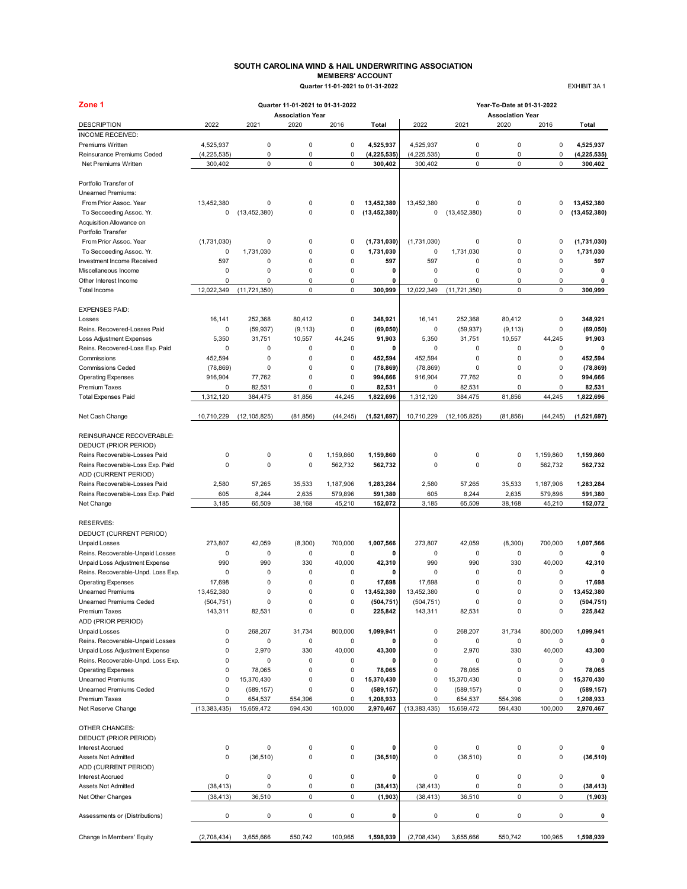#### **SOUTH CAROLINA WIND & HAIL UNDERWRITING ASSOCIATION MEMBERS' ACCOUNT Quarter 11-01-2021 to 01-31-2022** EXHIBIT 3A 1

| <b>MEMBERS' ACCOUNT</b>          |  |
|----------------------------------|--|
| Quarter 11-01-2021 to 01-31-2022 |  |

| Zone 1                                                 |                        |                | Quarter 11-01-2021 to 01-31-2022 |                      |                          |                        |                | Year-To-Date at 01-31-2022      |                      |                          |
|--------------------------------------------------------|------------------------|----------------|----------------------------------|----------------------|--------------------------|------------------------|----------------|---------------------------------|----------------------|--------------------------|
| <b>DESCRIPTION</b>                                     | 2022                   | 2021           | <b>Association Year</b><br>2020  | 2016                 | Total                    | 2022                   | 2021           | <b>Association Year</b><br>2020 | 2016                 | Total                    |
| <b>INCOME RECEIVED:</b>                                |                        |                |                                  |                      |                          |                        |                |                                 |                      |                          |
| Premiums Written                                       | 4,525,937              | 0              | $\pmb{0}$                        | $\pmb{0}$            | 4,525,937                | 4,525,937              | 0              | $\pmb{0}$                       | 0                    | 4,525,937                |
| Reinsurance Premiums Ceded                             | (4, 225, 535)          | 0              | $\mathsf 0$                      | $\pmb{0}$            | (4, 225, 535)            | (4, 225, 535)          | 0              | 0                               | 0                    | (4, 225, 535)            |
| Net Premiums Written                                   | 300,402                | $\mathsf 0$    | $\mathsf 0$                      | $\mathsf 0$          | 300.402                  | 300,402                | 0              | $\pmb{0}$                       | 0                    | 300,402                  |
|                                                        |                        |                |                                  |                      |                          |                        |                |                                 |                      |                          |
| Portfolio Transfer of                                  |                        |                |                                  |                      |                          |                        |                |                                 |                      |                          |
| <b>Unearned Premiums:</b>                              |                        |                |                                  |                      |                          |                        |                |                                 |                      |                          |
| From Prior Assoc. Year                                 | 13,452,380             | 0              | $\pmb{0}$                        | 0                    | 13,452,380               | 13,452,380             | 0              | $\mathbf 0$                     | 0                    | 13,452,380               |
| To Secceeding Assoc. Yr.                               | 0                      | (13, 452, 380) | $\pmb{0}$                        | 0                    | (13, 452, 380)           | 0                      | (13, 452, 380) | $\pmb{0}$                       | 0                    | (13, 452, 380)           |
| Acquisition Allowance on                               |                        |                |                                  |                      |                          |                        |                |                                 |                      |                          |
| Portfolio Transfer<br>From Prior Assoc. Year           |                        | 0              | $\pmb{0}$                        | 0                    |                          |                        | 0              | $\pmb{0}$                       | 0                    |                          |
| To Secceeding Assoc. Yr.                               | (1,731,030)<br>0       | 1,731,030      | $\pmb{0}$                        | $\pmb{0}$            | (1,731,030)<br>1,731,030 | (1,731,030)<br>0       | 1,731,030      | $\pmb{0}$                       | 0                    | (1,731,030)<br>1,731,030 |
| Investment Income Received                             | 597                    | 0              | $\mathbf 0$                      | $\pmb{0}$            | 597                      | 597                    | 0              | $\mathbf 0$                     | 0                    | 597                      |
| Miscellaneous Income                                   | $\mathbf 0$            | 0              | $\mathbf 0$                      | $\pmb{0}$            | 0                        | 0                      | 0              | $\mathbf 0$                     | 0                    | $\mathbf 0$              |
| Other Interest Income                                  | $\mathbf 0$            | 0              | $\mathbf 0$                      | 0                    | 0                        | $\mathbf 0$            | $\mathbf 0$    | $\pmb{0}$                       | 0                    | 0                        |
| Total Income                                           | 12,022,349             | (11, 721, 350) | $\mathsf 0$                      | $\mathsf 0$          | 300,999                  | 12,022,349             | (11, 721, 350) | $\mathsf 0$                     | 0                    | 300,999                  |
|                                                        |                        |                |                                  |                      |                          |                        |                |                                 |                      |                          |
| <b>EXPENSES PAID:</b>                                  |                        |                |                                  |                      |                          |                        |                |                                 |                      |                          |
| Losses                                                 | 16,141                 | 252,368        | 80,412                           | $\pmb{0}$            | 348,921                  | 16,141                 | 252,368        | 80,412                          | 0                    | 348,921                  |
| Reins, Recovered-Losses Paid                           | $\mathbf 0$            | (59, 937)      | (9, 113)                         | 0                    | (69, 050)                | 0                      | (59, 937)      | (9, 113)                        | 0                    | (69, 050)                |
| <b>Loss Adjustment Expenses</b>                        | 5,350                  | 31,751         | 10,557                           | 44,245               | 91,903                   | 5,350                  | 31,751         | 10,557                          | 44,245               | 91,903                   |
| Reins. Recovered-Loss Exp. Paid                        | $\mathbf 0$            | $\Omega$       | $\mathbf 0$                      | 0                    | 0                        | $\mathbf 0$            | 0              | 0                               | 0                    | 0                        |
| Commissions                                            | 452,594                | 0              | $\pmb{0}$                        | 0                    | 452,594                  | 452,594                | 0              | $\pmb{0}$                       | 0                    | 452.594                  |
| <b>Commissions Ceded</b>                               | (78, 869)              | 0              | $\mathbf 0$                      | $\pmb{0}$            | (78, 869)                | (78, 869)              | 0              | $\pmb{0}$                       | 0                    | (78, 869)                |
| <b>Operating Expenses</b>                              | 916,904                | 77,762         | $\pmb{0}$                        | $\pmb{0}$            | 994,666                  | 916,904                | 77,762         | $\mathbf 0$                     | 0                    | 994,666                  |
| <b>Premium Taxes</b>                                   | $\mathbf 0$            | 82,531         | 0                                | 0                    | 82,531                   | 0                      | 82,531         | $\mathbf 0$                     | 0                    | 82,531                   |
| <b>Total Expenses Paid</b>                             | 1,312,120              | 384.475        | 81,856                           | 44,245               | 1,822,696                | 1,312,120              | 384,475        | 81,856                          | 44,245               | 1,822,696                |
| Net Cash Change                                        | 10,710,229             | (12, 105, 825) | (81, 856)                        | (44, 245)            | (1,521,697)              | 10,710,229             | (12, 105, 825) | (81, 856)                       | (44, 245)            | (1,521,697)              |
| REINSURANCE RECOVERABLE:                               |                        |                |                                  |                      |                          |                        |                |                                 |                      |                          |
|                                                        |                        |                |                                  |                      |                          |                        |                |                                 |                      |                          |
| DEDUCT (PRIOR PERIOD)<br>Reins Recoverable-Losses Paid | $\mathbf 0$            | 0              | $\mathbf 0$                      |                      |                          | 0                      | 0              | $\pmb{0}$                       |                      | 1,159,860                |
| Reins Recoverable-Loss Exp. Paid                       | $\mathbf 0$            | 0              | $\pmb{0}$                        | 1,159,860<br>562,732 | 1,159,860<br>562,732     | $\mathbf 0$            | 0              | $\pmb{0}$                       | 1,159,860<br>562,732 | 562,732                  |
| ADD (CURRENT PERIOD)                                   |                        |                |                                  |                      |                          |                        |                |                                 |                      |                          |
| Reins Recoverable-Losses Paid                          | 2,580                  | 57,265         | 35,533                           | 1,187,906            | 1,283,284                | 2,580                  | 57,265         | 35,533                          | 1,187,906            | 1,283,284                |
| Reins Recoverable-Loss Exp. Paid                       | 605                    | 8,244          | 2,635                            | 579,896              | 591,380                  | 605                    | 8,244          | 2,635                           | 579,896              | 591,380                  |
| Net Change                                             | 3,185                  | 65,509         | 38,168                           | 45,210               | 152,072                  | 3,185                  | 65,509         | 38,168                          | 45,210               | 152,072                  |
|                                                        |                        |                |                                  |                      |                          |                        |                |                                 |                      |                          |
| <b>RESERVES:</b>                                       |                        |                |                                  |                      |                          |                        |                |                                 |                      |                          |
| DEDUCT (CURRENT PERIOD)                                |                        |                |                                  |                      |                          |                        |                |                                 |                      |                          |
| <b>Unpaid Losses</b>                                   | 273,807                | 42,059         | (8,300)                          | 700,000              | 1,007,566                | 273,807                | 42,059         | (8,300)                         | 700,000              | 1,007,566                |
| Reins. Recoverable-Unpaid Losses                       | $\mathbf 0$            | 0              | $\pmb{0}$                        | $\pmb{0}$            | 0                        | 0                      | 0              | 0                               | $\mathbf 0$          | 0                        |
| Unpaid Loss Adjustment Expense                         | 990                    | 990            | 330                              | 40,000               | 42,310                   | 990                    | 990            | 330                             | 40,000               | 42,310                   |
| Reins. Recoverable-Unpd. Loss Exp.                     | $\mathbf 0$            | 0              | $\mathbf 0$                      | $\mathbf 0$          | 0                        | 0                      | 0              | $\mathbf 0$                     | 0                    | 0                        |
| <b>Operating Expenses</b>                              | 17,698                 | 0              | $\mathbf 0$                      | $\mathbf 0$          | 17,698                   | 17,698                 | 0              | $\mathbf 0$                     | 0                    | 17,698                   |
| <b>Unearned Premiums</b>                               | 13,452,380             | 0              | 0                                | $\Omega$             | 13,452,380               | 13,452,380             | $\Omega$       | $\mathbf 0$                     | 0                    | 13,452,380               |
| Unearned Premiums Ceded                                | (504, 751)             | 0              | 0                                | 0                    | (504, 751)               | (504, 751)             |                | 0                               | 0                    | (504, 751)               |
| Premium Taxes                                          | 143,311                | 82,531         | $\mathbf 0$                      | $\pmb{0}$            | 225,842                  | 143,311                | 82,531         | $\mathbf 0$                     | 0                    | 225,842                  |
| ADD (PRIOR PERIOD)                                     |                        |                |                                  |                      |                          |                        |                |                                 |                      |                          |
| <b>Unpaid Losses</b>                                   | 0                      | 268,207        | 31,734                           | 800,000              | 1,099,941                | $\pmb{0}$              | 268,207        | 31,734                          | 800,000              | 1,099,941                |
| Reins. Recoverable-Unpaid Losses                       | $\mathbf 0$            | 0              | $\pmb{0}$                        | $\pmb{0}$            | 0                        | 0                      | 0              | $\pmb{0}$                       | 0                    | 0                        |
| Unpaid Loss Adjustment Expense                         | $\mathbf 0$            | 2,970          | 330                              | 40,000               | 43,300                   | 0                      | 2,970          | 330                             | 40,000               | 43,300                   |
| Reins. Recoverable-Unpd. Loss Exp.                     | $\mathbf 0$            | 0              | $\mathbf 0$                      | $\pmb{0}$            | 0                        | 0                      | 0              | $\pmb{0}$                       | 0                    | 0                        |
| <b>Operating Expenses</b>                              | 0                      | 78,065         | $\mathbf 0$                      | $\pmb{0}$            | 78,065                   | $\pmb{0}$              | 78,065         | $\mathbf 0$                     | 0                    | 78,065                   |
| <b>Unearned Premiums</b>                               | 0                      | 15,370,430     | $\pmb{0}$                        | 0                    | 15,370,430               | 0                      | 15,370,430     | $\mathbf 0$                     | 0                    | 15,370,430               |
| <b>Unearned Premiums Ceded</b>                         | $\mathbf 0$            | (589, 157)     | 0                                | 0                    | (589, 157)               | 0                      | (589, 157)     | $\mathbf 0$                     | 0                    | (589, 157)               |
| <b>Premium Taxes</b>                                   | 0                      | 654,537        | 554,396                          | 0                    | 1,208,933                | $\pmb{0}$              | 654,537        | 554,396                         | 0                    | 1,208,933                |
| Net Reserve Change                                     | (13, 383, 435)         | 15,659,472     | 594,430                          | 100,000              | 2,970,467                | (13, 383, 435)         | 15,659,472     | 594,430                         | 100,000              | 2,970,467                |
|                                                        |                        |                |                                  |                      |                          |                        |                |                                 |                      |                          |
| OTHER CHANGES:                                         |                        |                |                                  |                      |                          |                        |                |                                 |                      |                          |
| DEDUCT (PRIOR PERIOD)                                  |                        |                |                                  |                      |                          |                        |                |                                 |                      |                          |
| <b>Interest Accrued</b>                                | $\pmb{0}$              | 0              | 0                                | $\pmb{0}$            | 0                        | 0                      | 0              | $\pmb{0}$                       | 0                    | 0                        |
| Assets Not Admitted                                    | $\pmb{0}$              | (36, 510)      | $\mathbf 0$                      | 0                    | (36, 510)                | $\pmb{0}$              | (36, 510)      | $\pmb{0}$                       | 0                    | (36, 510)                |
| ADD (CURRENT PERIOD)                                   |                        |                |                                  |                      |                          |                        |                |                                 |                      |                          |
| <b>Interest Accrued</b>                                | $\pmb{0}$              | 0<br>0         | 0                                | $\pmb{0}$            | 0                        | $\pmb{0}$              | 0              | 0                               | 0                    | 0                        |
| Assets Not Admitted<br>Net Other Changes               | (38, 413)<br>(38, 413) | 36,510         | $\pmb{0}$<br>$\mathsf 0$         | $\pmb{0}$<br>0       | (38, 413)<br>(1, 903)    | (38, 413)<br>(38, 413) | 0<br>36,510    | 0<br>$\mathsf 0$                | 0<br>0               | (38, 413)<br>(1, 903)    |
|                                                        |                        |                |                                  |                      |                          |                        |                |                                 |                      |                          |
| Assessments or (Distributions)                         | 0                      | 0              | 0                                | 0                    | 0                        | 0                      | 0              | 0                               | 0                    | 0                        |
|                                                        |                        |                |                                  |                      |                          |                        |                |                                 |                      |                          |
| Change In Members' Equity                              | (2,708,434)            | 3,655,666      | 550,742                          | 100,965              | 1,598,939                | (2,708,434)            | 3,655,666      | 550,742                         | 100,965              | 1,598,939                |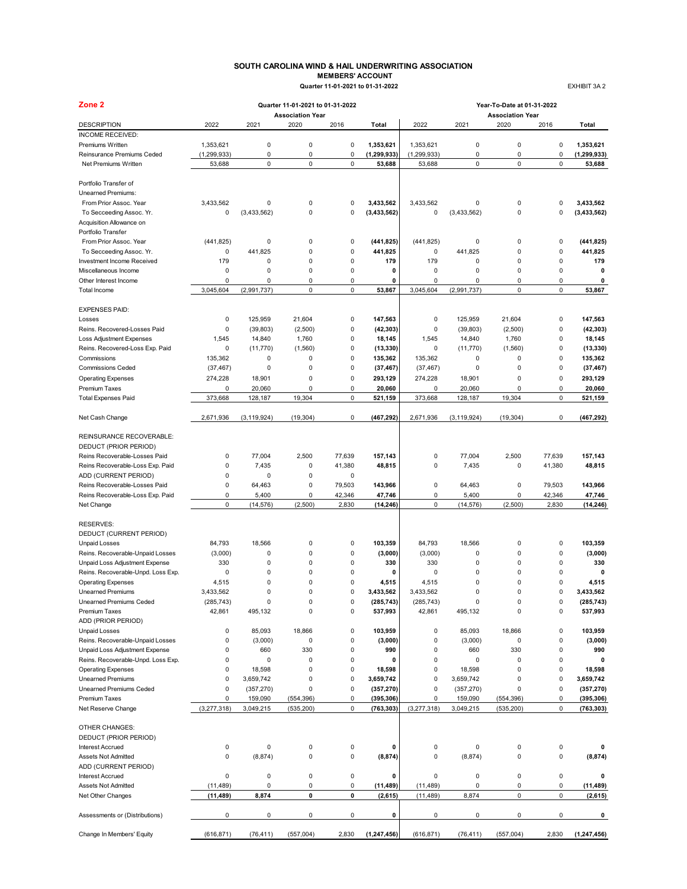## **SOUTH CAROLINA WIND & HAIL UNDERWRITING ASSOCIATION MEMBERS' ACCOUNT**<br> **MEMBERS' ACCOUNT**<br> **Ter 11-01-2021 to 01-31-2022**

 **Quarter 11-01-2021 to 01-31-2022** EXHIBIT 3A 2

| Quarter 11-01-2021 to 01-31-20 |  |  |
|--------------------------------|--|--|

| Zone 2                                        |                  |                      | Quarter 11-01-2021 to 01-31-2022 |                          |                          |                  |                      | Year-To-Date at 01-31-2022      |             |                          |
|-----------------------------------------------|------------------|----------------------|----------------------------------|--------------------------|--------------------------|------------------|----------------------|---------------------------------|-------------|--------------------------|
| <b>DESCRIPTION</b>                            | 2022             | 2021                 | <b>Association Year</b><br>2020  | 2016                     | Total                    | 2022             | 2021                 | <b>Association Year</b><br>2020 | 2016        | Total                    |
| <b>INCOME RECEIVED:</b>                       |                  |                      |                                  |                          |                          |                  |                      |                                 |             |                          |
| Premiums Written                              | 1,353,621        | $\pmb{0}$            | $\mathbf 0$                      | $\mathbf 0$              | 1,353,621                | 1,353,621        | $\mathsf 0$          | 0                               | 0           | 1,353,621                |
| Reinsurance Premiums Ceded                    | (1, 299, 933)    | 0                    | 0                                | $\mathbf 0$              | (1, 299, 933)            | (1, 299, 933)    | 0                    | 0                               | 0           | (1, 299, 933)            |
| Net Premiums Written                          | 53,688           | $\mathbf 0$          | 0                                | $\mathsf 0$              | 53,688                   | 53,688           | $\mathsf 0$          | 0                               | 0           | 53,688                   |
|                                               |                  |                      |                                  |                          |                          |                  |                      |                                 |             |                          |
| Portfolio Transfer of                         |                  |                      |                                  |                          |                          |                  |                      |                                 |             |                          |
| Unearned Premiums:                            |                  |                      |                                  |                          |                          |                  |                      |                                 |             |                          |
| From Prior Assoc. Year                        | 3,433,562        | 0                    | 0                                | $\mathbf 0$              | 3,433,562                | 3,433,562        | 0                    | 0                               | 0           | 3,433,562                |
| To Secceeding Assoc. Yr.                      | 0                | (3,433,562)          | 0                                | $\mathbf 0$              | (3, 433, 562)            | 0                | (3,433,562)          | 0                               | $\mathbf 0$ | (3,433,562)              |
| Acquisition Allowance on                      |                  |                      |                                  |                          |                          |                  |                      |                                 |             |                          |
| Portfolio Transfer                            |                  |                      |                                  |                          |                          |                  |                      |                                 |             |                          |
| From Prior Assoc. Year                        | (441, 825)       | 0                    | 0                                | 0                        | (441, 825)               | (441, 825)       | 0                    | 0                               | 0           | (441, 825)               |
| To Secceeding Assoc. Yr.                      | 0                | 441,825              | 0                                | $\mathbf 0$              | 441.825                  | 0                | 441,825              | 0                               | 0           | 441,825                  |
| Investment Income Received                    | 179              | 0<br>$\mathbf 0$     | 0<br>0                           | $\pmb{0}$                | 179                      | 179              | 0<br>$\mathbf 0$     | 0                               | 0<br>0      | 179                      |
| Miscellaneous Income<br>Other Interest Income | 0<br>0           | 0                    | 0                                | $\mathbf 0$<br>$\pmb{0}$ | 0<br>0                   | 0<br>$\mathbf 0$ | 0                    | 0<br>0                          | 0           | 0<br>0                   |
| Total Income                                  | 3,045,604        | (2,991,737)          | $\mathbf 0$                      | $\pmb{0}$                | 53,867                   | 3,045,604        | (2,991,737)          | 0                               | 0           | 53,867                   |
|                                               |                  |                      |                                  |                          |                          |                  |                      |                                 |             |                          |
| <b>EXPENSES PAID:</b>                         |                  |                      |                                  |                          |                          |                  |                      |                                 |             |                          |
| Losses                                        | 0                | 125,959              | 21,604                           | $\mathbf 0$              | 147,563                  | 0                | 125,959              | 21,604                          | 0           | 147,563                  |
| Reins. Recovered-Losses Paid                  | $\mathbf 0$      | (39, 803)            | (2,500)                          | $\mathbf 0$              | (42, 303)                | 0                | (39, 803)            | (2,500)                         | $\mathbf 0$ | (42, 303)                |
| <b>Loss Adjustment Expenses</b>               | 1,545            | 14,840               | 1,760                            | $\pmb{0}$                | 18,145                   | 1,545            | 14,840               | 1,760                           | $\mathbf 0$ | 18,145                   |
| Reins. Recovered-Loss Exp. Paid               | 0                | (11, 770)            | (1,560)                          | $\mathbf 0$              | (13, 330)                | 0                | (11,770)             | (1,560)                         | 0           | (13, 330)                |
| Commissions                                   | 135,362          | 0                    | 0                                | $\mathbf 0$              | 135,362                  | 135,362          | 0                    | 0                               | 0           | 135,362                  |
| <b>Commissions Ceded</b>                      | (37, 467)        | 0                    | 0                                | $\pmb{0}$                | (37, 467)                | (37, 467)        | 0                    | 0                               | $\mathbf 0$ | (37, 467)                |
| <b>Operating Expenses</b>                     | 274,228          | 18,901               | 0                                | $\pmb{0}$                | 293,129                  | 274,228          | 18,901               | 0                               | 0           | 293,129                  |
| <b>Premium Taxes</b>                          | 0                | 20,060               | 0                                | $\pmb{0}$                | 20,060                   | 0                | 20,060               | 0                               | 0           | 20,060                   |
| <b>Total Expenses Paid</b>                    | 373.668          | 128,187              | 19,304                           | $\pmb{0}$                | 521,159                  | 373,668          | 128,187              | 19.304                          | $\mathbf 0$ | 521,159                  |
|                                               |                  |                      |                                  |                          |                          |                  |                      |                                 |             |                          |
| Net Cash Change                               | 2,671,936        | (3, 119, 924)        | (19, 304)                        | $\mathbf 0$              | (467, 292)               | 2,671,936        | (3, 119, 924)        | (19, 304)                       | 0           | (467, 292)               |
| REINSURANCE RECOVERABLE:                      |                  |                      |                                  |                          |                          |                  |                      |                                 |             |                          |
| DEDUCT (PRIOR PERIOD)                         |                  |                      |                                  |                          |                          |                  |                      |                                 |             |                          |
| Reins Recoverable-Losses Paid                 | 0                | 77,004               | 2,500                            | 77,639                   | 157,143                  | 0                | 77,004               | 2,500                           | 77,639      | 157,143                  |
| Reins Recoverable-Loss Exp. Paid              | $\mathbf 0$      | 7,435                | 0                                | 41,380                   | 48,815                   | 0                | 7,435                | 0                               | 41,380      | 48,815                   |
| ADD (CURRENT PERIOD)                          | $\pmb{0}$        | 0                    | 0                                | $\mathbf 0$              |                          |                  |                      |                                 |             |                          |
| Reins Recoverable-Losses Paid                 | $\pmb{0}$        | 64,463               | 0                                | 79,503                   | 143,966                  | $\pmb{0}$        | 64,463               | 0                               | 79,503      | 143,966                  |
| Reins Recoverable-Loss Exp. Paid              | $\pmb{0}$        | 5,400                | 0                                | 42,346                   | 47,746                   | 0                | 5,400                | 0                               | 42,346      | 47,746                   |
| Net Change                                    | $\mathbf 0$      | (14, 576)            | (2,500)                          | 2,830                    | (14, 246)                | $\mathbf 0$      | (14, 576)            | (2,500)                         | 2,830       | (14, 246)                |
|                                               |                  |                      |                                  |                          |                          |                  |                      |                                 |             |                          |
| <b>RESERVES:</b>                              |                  |                      |                                  |                          |                          |                  |                      |                                 |             |                          |
| DEDUCT (CURRENT PERIOD)                       |                  |                      |                                  |                          |                          |                  |                      |                                 |             |                          |
| <b>Unpaid Losses</b>                          | 84,793           | 18,566               | 0                                | $\mathbf 0$              | 103,359                  | 84,793           | 18,566               | 0                               | 0           | 103,359                  |
| Reins. Recoverable-Unpaid Losses              | (3,000)          | 0                    | 0                                | $\mathbf 0$              | (3,000)                  | (3,000)          | $\mathbf 0$          | 0                               | 0           | (3,000)                  |
| Unpaid Loss Adjustment Expense                | 330              | 0                    | 0                                | $\mathbf 0$              | 330                      | 330              | 0                    | 0                               | 0           | 330                      |
| Reins. Recoverable-Unpd. Loss Exp.            | 0                | 0                    | 0                                | $\mathbf 0$              | 0                        | 0                | 0                    | 0                               | 0           | $\mathbf 0$              |
| <b>Operating Expenses</b>                     | 4,515            | 0                    | 0                                | $\mathbf 0$              | 4,515                    | 4,515            | $\mathbf 0$          | 0                               | 0           | 4,515                    |
| <b>Unearned Premiums</b>                      | 3,433,562        | 0                    | $\Omega$                         | $\mathbf 0$              | 3,433,562                | 3.433.562        | $\mathbf 0$          | 0                               | $\Omega$    | 3.433.562                |
| <b>Unearned Premiums Ceded</b>                | (285, 743)       | 0                    | $\mathbf 0$                      | $\pmb{0}$                | (285, 743)               | (285, 743)       | $\pmb{0}$            | 0                               | $\pmb{0}$   | (285, 743)               |
| <b>Premium Taxes</b>                          | 42,861           | 495,132              | $\mathbf 0$                      | $\pmb{0}$                | 537,993                  | 42,861           | 495,132              | 0                               | 0           | 537,993                  |
| ADD (PRIOR PERIOD)                            |                  |                      |                                  |                          |                          |                  |                      |                                 |             |                          |
| <b>Unpaid Losses</b>                          | 0                | 85,093               | 18,866                           | $\mathbf 0$              | 103,959                  | 0                | 85,093               | 18,866                          | 0           | 103,959                  |
| Reins. Recoverable-Unpaid Losses              | $\mathbf 0$      | (3,000)              | 0                                | $\pmb{0}$                | (3,000)                  | 0                | (3,000)              | 0                               | $\mathbf 0$ | (3,000)                  |
| Unpaid Loss Adjustment Expense                | $\pmb{0}$        | 660                  | 330                              | $\pmb{0}$                | 990                      | 0                | 660                  | 330                             | $\mathbf 0$ | 990                      |
| Reins. Recoverable-Unpd. Loss Exp.            | $\mathbf 0$      | 0                    | 0                                | $\mathbf 0$              | 0                        | 0                | 0                    | 0                               | 0           | $\mathbf 0$              |
| <b>Operating Expenses</b>                     | $\mathbf 0$      | 18,598               | 0                                | $\mathbf 0$              | 18,598                   | 0                | 18,598               | 0                               | 0           | 18,598                   |
| <b>Unearned Premiums</b>                      | $\pmb{0}$        | 3,659,742            | 0                                | $\mathbf 0$              | 3,659,742                | 0                | 3,659,742            | 0                               | 0           | 3,659,742                |
| Unearned Premiums Ceded                       | 0                | (357, 270)           | 0                                | $\pmb{0}$                | (357, 270)               | 0                | (357, 270)           | 0<br>(554, 396)                 | 0           | (357, 270)               |
| <b>Premium Taxes</b><br>Net Reserve Change    | 0<br>(3,277,318) | 159,090<br>3,049,215 | (554, 396)<br>(535, 200)         | $\pmb{0}$<br>$\pmb{0}$   | (395, 306)<br>(763, 303) | 0<br>(3,277,318) | 159,090<br>3,049,215 | (535, 200)                      | 0<br>0      | (395, 306)<br>(763, 303) |
|                                               |                  |                      |                                  |                          |                          |                  |                      |                                 |             |                          |
| OTHER CHANGES:                                |                  |                      |                                  |                          |                          |                  |                      |                                 |             |                          |
| DEDUCT (PRIOR PERIOD)                         |                  |                      |                                  |                          |                          |                  |                      |                                 |             |                          |
| <b>Interest Accrued</b>                       | 0                | 0                    | 0                                | 0                        | 0                        | 0                | 0                    | 0                               | 0           | 0                        |
| Assets Not Admitted                           | $\pmb{0}$        | (8,874)              | 0                                | $\mathbf 0$              | (8, 874)                 | $\pmb{0}$        | (8, 874)             | 0                               | 0           | (8, 874)                 |
| ADD (CURRENT PERIOD)                          |                  |                      |                                  |                          |                          |                  |                      |                                 |             |                          |
| <b>Interest Accrued</b>                       | 0                | 0                    | $\mathbf 0$                      | $\mathsf 0$              | 0                        | $\pmb{0}$        | 0                    | 0                               | 0           | 0                        |
| Assets Not Admitted                           | (11, 489)        | 0                    | 0                                | 0                        | (11, 489)                | (11, 489)        | 0                    | 0                               | 0           | (11, 489)                |
| Net Other Changes                             | (11, 489)        | 8,874                | 0                                | 0                        | (2,615)                  | (11, 489)        | 8,874                | 0                               | 0           | (2,615)                  |
| Assessments or (Distributions)                | $\pmb{0}$        | 0                    | 0                                | $\pmb{0}$                | 0                        | 0                | 0                    | 0                               | 0           | 0                        |
| Change In Members' Equity                     | (616, 871)       | (76, 411)            | (557,004)                        | 2,830                    | (1, 247, 456)            | (616, 871)       | (76, 411)            | (557,004)                       | 2,830       | (1, 247, 456)            |
|                                               |                  |                      |                                  |                          |                          |                  |                      |                                 |             |                          |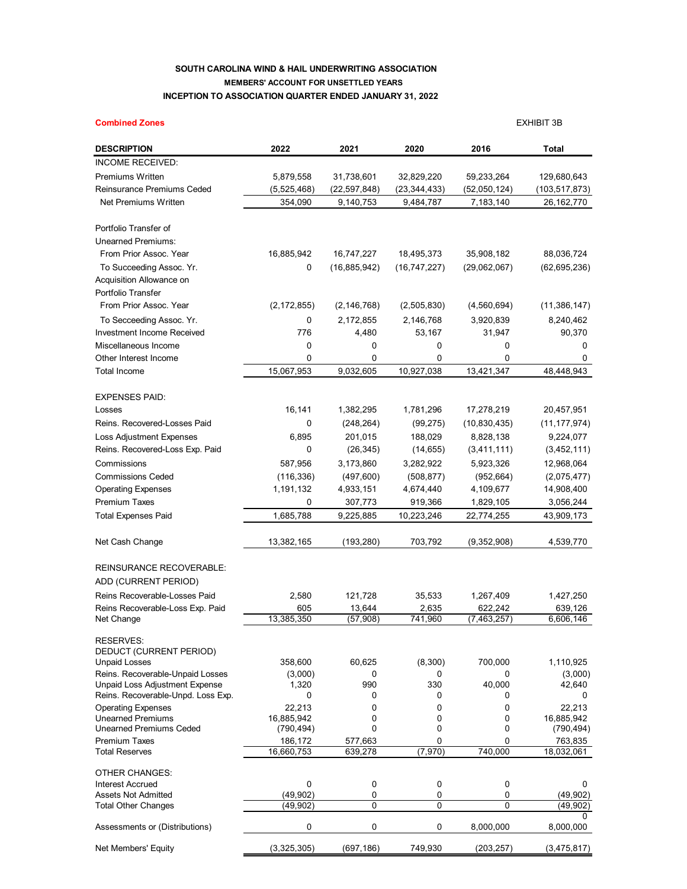## **SOUTH CAROLINA WIND & HAIL UNDERWRITING ASSOCIATION MEMBERS' ACCOUNT FOR UNSETTLED YEARS INCEPTION TO ASSOCIATION QUARTER ENDED JANUARY 31, 2022**

| <b>Combined Zones</b>                                              |                  |                |                 |                      | <b>EXHIBIT 3B</b> |
|--------------------------------------------------------------------|------------------|----------------|-----------------|----------------------|-------------------|
| <b>DESCRIPTION</b>                                                 | 2022             | 2021           | 2020            | 2016                 | Total             |
| <b>INCOME RECEIVED:</b>                                            |                  |                |                 |                      |                   |
| <b>Premiums Written</b>                                            | 5,879,558        | 31,738,601     | 32,829,220      | 59,233,264           | 129,680,643       |
| Reinsurance Premiums Ceded                                         | (5,525,468)      | (22, 597, 848) | (23, 344, 433)  | (52,050,124)         | (103, 517, 873)   |
| Net Premiums Written                                               | 354,090          | 9,140,753      | 9,484,787       | 7,183,140            | 26,162,770        |
| Portfolio Transfer of                                              |                  |                |                 |                      |                   |
| <b>Unearned Premiums:</b>                                          |                  |                |                 |                      |                   |
| From Prior Assoc. Year                                             | 16,885,942       | 16,747,227     | 18,495,373      | 35,908,182           | 88,036,724        |
| To Succeeding Assoc. Yr.                                           | 0                | (16, 885, 942) | (16,747,227)    | (29,062,067)         | (62, 695, 236)    |
| Acquisition Allowance on                                           |                  |                |                 |                      |                   |
| Portfolio Transfer                                                 |                  |                |                 |                      |                   |
| From Prior Assoc. Year                                             | (2, 172, 855)    | (2, 146, 768)  | (2,505,830)     | (4,560,694)          | (11, 386, 147)    |
| To Secceeding Assoc. Yr.                                           | 0                | 2,172,855      | 2,146,768       | 3,920,839            | 8,240,462         |
| Investment Income Received                                         | 776              | 4,480          | 53,167          | 31,947               | 90,370            |
| Miscellaneous Income                                               | 0                | 0              | 0               | 0                    | 0                 |
| Other Interest Income                                              | 0                | 0              | 0               | 0                    | 0                 |
| Total Income                                                       | 15,067,953       | 9,032,605      | 10,927,038      | 13,421,347           | 48,448,943        |
| <b>EXPENSES PAID:</b>                                              |                  |                |                 |                      |                   |
| Losses                                                             | 16,141           | 1,382,295      | 1,781,296       | 17,278,219           | 20,457,951        |
| Reins. Recovered-Losses Paid                                       | 0                | (248, 264)     | (99, 275)       | (10, 830, 435)       | (11, 177, 974)    |
| <b>Loss Adjustment Expenses</b>                                    | 6,895            | 201,015        | 188,029         | 8,828,138            | 9,224,077         |
| Reins. Recovered-Loss Exp. Paid                                    | 0                | (26, 345)      | (14, 655)       | (3,411,111)          | (3,452,111)       |
| Commissions                                                        | 587,956          | 3,173,860      | 3,282,922       | 5,923,326            | 12,968,064        |
| <b>Commissions Ceded</b>                                           | (116, 336)       | (497, 600)     | (508, 877)      | (952, 664)           | (2,075,477)       |
| <b>Operating Expenses</b>                                          | 1,191,132        | 4,933,151      | 4,674,440       | 4,109,677            | 14,908,400        |
| <b>Premium Taxes</b>                                               | 0                | 307,773        | 919,366         | 1,829,105            | 3,056,244         |
| <b>Total Expenses Paid</b>                                         | 1,685,788        | 9,225,885      | 10,223,246      | 22,774,255           | 43,909,173        |
| Net Cash Change                                                    | 13,382,165       | (193,280)      | 703,792         | (9,352,908)          | 4,539,770         |
| REINSURANCE RECOVERABLE:                                           |                  |                |                 |                      |                   |
| ADD (CURRENT PERIOD)                                               |                  |                |                 |                      |                   |
| Reins Recoverable-Losses Paid                                      |                  | 121,728        |                 |                      | 1,427,250         |
| Reins Recoverable-Loss Exp. Paid                                   | 2,580<br>605     | 13,644         | 35,533<br>2,635 | 1,267,409<br>622,242 | 639,126           |
| Net Change                                                         | 13,385,350       | (57,908)       | 741,960         | (7,463,257)          | 6,606,146         |
| <b>RESERVES:</b>                                                   |                  |                |                 |                      |                   |
| DEDUCT (CURRENT PERIOD)                                            |                  |                |                 |                      |                   |
| <b>Unpaid Losses</b>                                               | 358,600          | 60,625         | (8,300)         | 700,000              | 1,110,925         |
| Reins. Recoverable-Unpaid Losses<br>Unpaid Loss Adjustment Expense | (3,000)<br>1,320 | 0<br>990       | 0<br>330        | 0<br>40,000          | (3,000)<br>42,640 |
| Reins. Recoverable-Unpd. Loss Exp.                                 | 0                | 0              | 0               | 0                    | 0                 |
| <b>Operating Expenses</b>                                          | 22,213           | $\mathbf 0$    | 0               | 0                    | 22,213            |
| <b>Unearned Premiums</b>                                           | 16,885,942       | 0              | 0               | 0                    | 16,885,942        |
| <b>Unearned Premiums Ceded</b>                                     | (790, 494)       | 0              | 0               | 0                    | (790, 494)        |
| <b>Premium Taxes</b>                                               | 186,172          | 577,663        | 0               | 0                    | 763,835           |
| <b>Total Reserves</b>                                              | 16,660,753       | 639,278        | (7,970)         | 740,000              | 18,032,061        |
| <b>OTHER CHANGES:</b>                                              |                  |                |                 |                      |                   |
| <b>Interest Accrued</b><br><b>Assets Not Admitted</b>              | 0<br>(49,902)    | 0<br>0         | 0<br>0          | 0<br>0               | 0<br>(49,902)     |
| <b>Total Other Changes</b>                                         | (49,902)         | 0              | $\Omega$        | 0                    | (49, 902)         |
|                                                                    |                  |                |                 |                      | 0                 |
| Assessments or (Distributions)                                     | 0                | 0              | 0               | 8,000,000            | 8,000,000         |

Net Members' Equity (3,325,305) (697,186) 749,930 (203,257) (3,475,817)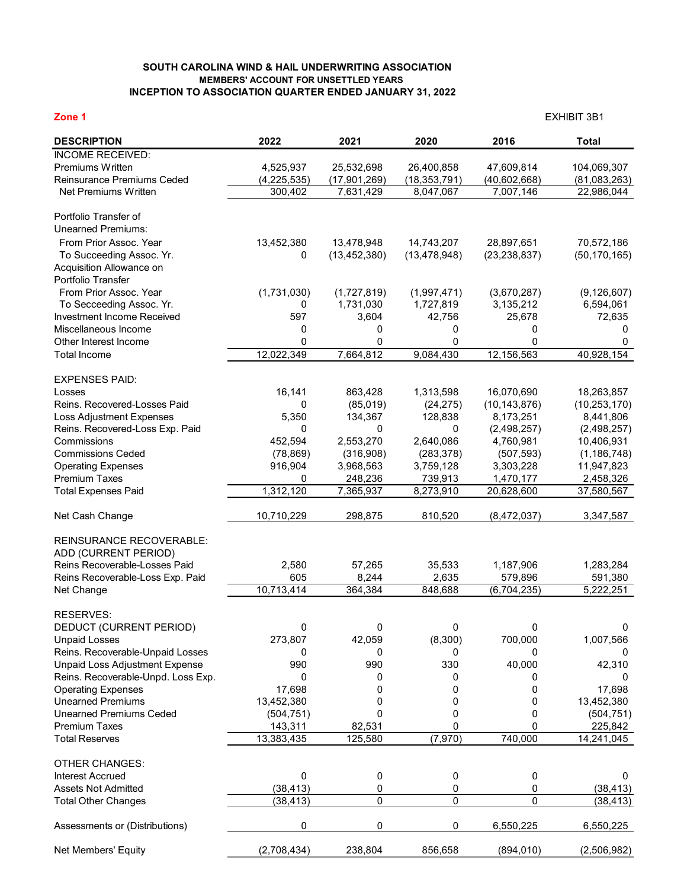## **SOUTH CAROLINA WIND & HAIL UNDERWRITING ASSOCIATION MEMBERS' ACCOUNT FOR UNSETTLED YEARS INCEPTION TO ASSOCIATION QUARTER ENDED JANUARY 31, 2022**

| Zone 1                                                 |               |                    |                     |                          | <b>EXHIBIT 3B1</b>        |
|--------------------------------------------------------|---------------|--------------------|---------------------|--------------------------|---------------------------|
| <b>DESCRIPTION</b>                                     | 2022          | 2021               | 2020                | 2016                     | <b>Total</b>              |
| <b>INCOME RECEIVED:</b>                                |               |                    |                     |                          |                           |
| Premiums Written                                       | 4,525,937     | 25,532,698         | 26,400,858          | 47,609,814               | 104,069,307               |
| Reinsurance Premiums Ceded                             | (4, 225, 535) | (17, 901, 269)     | (18, 353, 791)      | (40,602,668)             | (81,083,263)              |
| Net Premiums Written                                   | 300,402       | 7,631,429          | 8,047,067           | 7,007,146                | 22,986,044                |
| Portfolio Transfer of                                  |               |                    |                     |                          |                           |
| <b>Unearned Premiums:</b>                              |               |                    |                     |                          |                           |
| From Prior Assoc, Year                                 | 13,452,380    | 13,478,948         | 14,743,207          | 28,897,651               | 70,572,186                |
| To Succeeding Assoc. Yr.                               | 0             | (13, 452, 380)     | (13, 478, 948)      | (23, 238, 837)           | (50, 170, 165)            |
| Acquisition Allowance on                               |               |                    |                     |                          |                           |
| Portfolio Transfer                                     |               |                    |                     |                          |                           |
| From Prior Assoc. Year                                 | (1,731,030)   | (1,727,819)        | (1,997,471)         | (3,670,287)              | (9, 126, 607)             |
| To Secceeding Assoc. Yr.<br>Investment Income Received | 0<br>597      | 1,731,030<br>3,604 | 1,727,819<br>42,756 | 3,135,212<br>25,678      | 6,594,061<br>72,635       |
| Miscellaneous Income                                   | 0             | 0                  | 0                   | 0                        | 0                         |
| Other Interest Income                                  | 0             | 0                  | 0                   | 0                        | 0                         |
| <b>Total Income</b>                                    | 12,022,349    | 7,664,812          | 9,084,430           | 12,156,563               | 40,928,154                |
|                                                        |               |                    |                     |                          |                           |
| <b>EXPENSES PAID:</b>                                  |               |                    |                     |                          |                           |
| Losses                                                 | 16,141        | 863,428            | 1,313,598           | 16,070,690               | 18,263,857                |
| Reins. Recovered-Losses Paid                           | 0             | (85,019)           | (24, 275)           | (10, 143, 876)           | (10, 253, 170)            |
| Loss Adjustment Expenses                               | 5,350         | 134,367            | 128,838             | 8,173,251                | 8,441,806                 |
| Reins. Recovered-Loss Exp. Paid<br>Commissions         | 0<br>452,594  | 0<br>2,553,270     | 0<br>2,640,086      | (2,498,257)<br>4,760,981 | (2,498,257)<br>10,406,931 |
| <b>Commissions Ceded</b>                               | (78, 869)     | (316,908)          | (283, 378)          | (507, 593)               | (1, 186, 748)             |
| <b>Operating Expenses</b>                              | 916,904       | 3,968,563          | 3,759,128           | 3,303,228                | 11,947,823                |
| <b>Premium Taxes</b>                                   | 0             | 248,236            | 739,913             | 1,470,177                | 2,458,326                 |
| <b>Total Expenses Paid</b>                             | 1,312,120     | 7,365,937          | 8,273,910           | 20,628,600               | 37,580,567                |
| Net Cash Change                                        | 10,710,229    | 298,875            | 810,520             | (8,472,037)              | 3,347,587                 |
| <b>REINSURANCE RECOVERABLE:</b>                        |               |                    |                     |                          |                           |
| ADD (CURRENT PERIOD)                                   |               |                    |                     |                          |                           |
| Reins Recoverable-Losses Paid                          | 2,580         | 57,265             | 35,533              | 1,187,906                | 1,283,284                 |
| Reins Recoverable-Loss Exp. Paid                       | 605           | 8,244              | 2,635               | 579,896                  | 591,380                   |
| Net Change                                             | 10,713,414    | 364,384            | 848,688             | (6,704,235)              | 5,222,251                 |
| RESERVES:                                              |               |                    |                     |                          |                           |
| DEDUCT (CURRENT PERIOD)                                | 0             | 0                  | 0                   | 0                        | 0                         |
| <b>Unpaid Losses</b>                                   | 273,807       | 42,059             | (8,300)             | 700,000                  | 1,007,566                 |
| Reins. Recoverable-Unpaid Losses                       | 0             | 0                  | 0                   | 0                        | 0                         |
| Unpaid Loss Adjustment Expense                         | 990           | 990                | 330                 | 40,000                   | 42,310                    |
| Reins. Recoverable-Unpd. Loss Exp.                     | 0             | 0                  | 0                   | 0                        | 0                         |
| <b>Operating Expenses</b>                              | 17,698        | 0                  | 0                   | 0                        | 17,698                    |
| <b>Unearned Premiums</b>                               | 13,452,380    | 0                  | 0                   | 0                        | 13,452,380                |
| <b>Unearned Premiums Ceded</b>                         | (504, 751)    | 0                  | 0                   | 0                        | (504, 751)                |
| <b>Premium Taxes</b>                                   | 143,311       | 82,531             | 0                   | 0                        | 225,842                   |
| <b>Total Reserves</b>                                  | 13,383,435    | 125,580            | (7,970)             | 740,000                  | 14,241,045                |
| <b>OTHER CHANGES:</b>                                  |               |                    |                     |                          |                           |
| <b>Interest Accrued</b>                                | 0             | 0                  | 0                   | 0                        | 0                         |
| <b>Assets Not Admitted</b>                             | (38, 413)     | 0                  | 0                   | 0                        | (38, 413)                 |
| <b>Total Other Changes</b>                             | (38, 413)     | $\pmb{0}$          | $\mathbf 0$         | 0                        | (38, 413)                 |
| Assessments or (Distributions)                         | 0             | 0                  | 0                   | 6,550,225                | 6,550,225                 |
| Net Members' Equity                                    | (2,708,434)   | 238,804            | 856,658             | (894, 010)               | (2,506,982)               |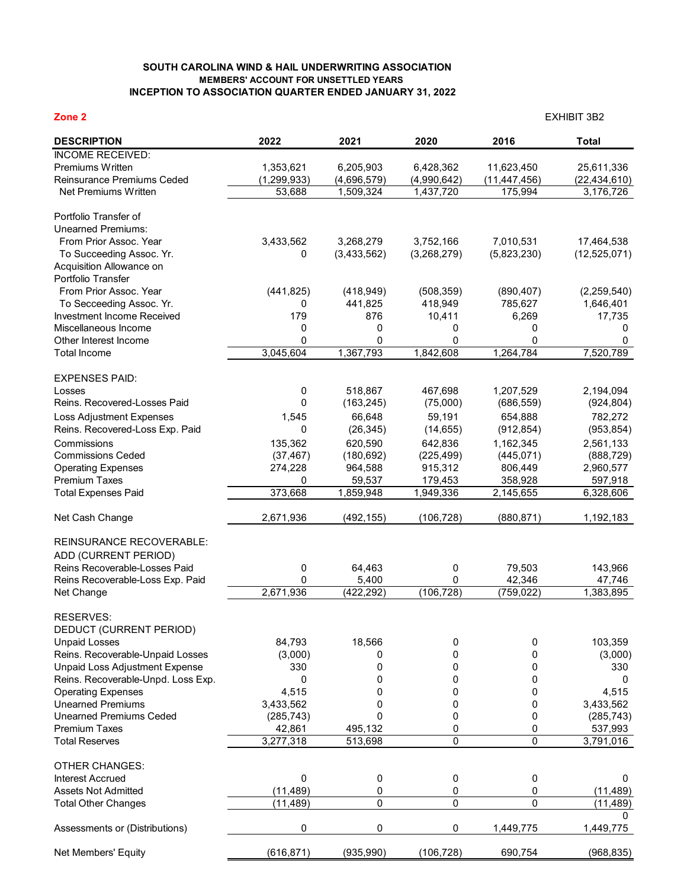## **SOUTH CAROLINA WIND & HAIL UNDERWRITING ASSOCIATION MEMBERS' ACCOUNT FOR UNSETTLED YEARS INCEPTION TO ASSOCIATION QUARTER ENDED JANUARY 31, 2022**

| Zone <sub>2</sub>                                     |                    |             |             |                | <b>EXHIBIT 3B2</b>          |
|-------------------------------------------------------|--------------------|-------------|-------------|----------------|-----------------------------|
| <b>DESCRIPTION</b>                                    | 2022               | 2021        | 2020        | 2016           | <b>Total</b>                |
| <b>INCOME RECEIVED:</b>                               |                    |             |             |                |                             |
| Premiums Written                                      | 1,353,621          | 6,205,903   | 6,428,362   | 11,623,450     | 25,611,336                  |
| Reinsurance Premiums Ceded<br>Net Premiums Written    | (1, 299, 933)      | (4,696,579) | (4,990,642) | (11, 447, 456) | (22, 434, 610)<br>3,176,726 |
|                                                       | 53,688             | 1,509,324   | 1,437,720   | 175,994        |                             |
| Portfolio Transfer of                                 |                    |             |             |                |                             |
| <b>Unearned Premiums:</b>                             |                    |             |             |                |                             |
| From Prior Assoc. Year                                | 3,433,562          | 3,268,279   | 3,752,166   | 7,010,531      | 17,464,538                  |
| To Succeeding Assoc. Yr.                              | 0                  | (3,433,562) | (3,268,279) | (5,823,230)    | (12,525,071)                |
| Acquisition Allowance on<br>Portfolio Transfer        |                    |             |             |                |                             |
| From Prior Assoc. Year                                | (441, 825)         | (418, 949)  | (508, 359)  | (890, 407)     | (2,259,540)                 |
| To Secceeding Assoc. Yr.                              | 0                  | 441,825     | 418,949     | 785,627        | 1,646,401                   |
| Investment Income Received                            | 179                | 876         | 10,411      | 6,269          | 17,735                      |
| Miscellaneous Income                                  | 0                  | 0           | 0           | 0              | 0                           |
| Other Interest Income                                 | 0                  | 0           | 0           | 0              | 0                           |
| <b>Total Income</b>                                   | 3,045,604          | 1,367,793   | 1,842,608   | 1,264,784      | 7,520,789                   |
| <b>EXPENSES PAID:</b>                                 |                    |             |             |                |                             |
| Losses                                                | 0                  | 518,867     | 467,698     | 1,207,529      | 2,194,094                   |
| Reins, Recovered-Losses Paid                          | 0                  | (163, 245)  | (75,000)    | (686, 559)     | (924, 804)                  |
| Loss Adjustment Expenses                              | 1,545              | 66,648      | 59,191      | 654,888        | 782,272                     |
| Reins. Recovered-Loss Exp. Paid                       | 0                  | (26, 345)   | (14, 655)   | (912, 854)     | (953, 854)                  |
| Commissions                                           | 135,362            | 620,590     | 642,836     | 1,162,345      | 2,561,133                   |
| <b>Commissions Ceded</b>                              | (37, 467)          | (180, 692)  | (225, 499)  | (445, 071)     | (888, 729)                  |
| <b>Operating Expenses</b>                             | 274,228            | 964,588     | 915,312     | 806,449        | 2,960,577                   |
| Premium Taxes                                         | 0                  | 59,537      | 179,453     | 358,928        | 597,918                     |
| <b>Total Expenses Paid</b>                            | 373,668            | 1,859,948   | 1,949,336   | 2,145,655      | 6,328,606                   |
| Net Cash Change                                       | 2,671,936          | (492, 155)  | (106, 728)  | (880, 871)     | 1,192,183                   |
| <b>REINSURANCE RECOVERABLE:</b>                       |                    |             |             |                |                             |
| ADD (CURRENT PERIOD)                                  |                    |             |             |                |                             |
| Reins Recoverable-Losses Paid                         | 0                  | 64,463      | 0           | 79,503         | 143,966                     |
| Reins Recoverable-Loss Exp. Paid                      | 0                  | 5,400       | 0           | 42,346         | 47,746                      |
| Net Change                                            | 2,671,936          | (422, 292)  | (106, 728)  | (759, 022)     | 1,383,895                   |
| RESERVES:                                             |                    |             |             |                |                             |
| DEDUCT (CURRENT PERIOD)                               |                    |             |             |                |                             |
| <b>Unpaid Losses</b>                                  | 84,793             | 18,566      | 0           | 0              | 103,359                     |
| Reins. Recoverable-Unpaid Losses                      | (3,000)            | 0           | 0           | 0              | (3,000)                     |
| Unpaid Loss Adjustment Expense                        | 330                | 0           | 0           | 0              | 330                         |
| Reins. Recoverable-Unpd. Loss Exp.                    | 0                  | 0           | 0           | 0              | 0                           |
| <b>Operating Expenses</b><br><b>Unearned Premiums</b> | 4,515<br>3,433,562 | 0<br>0      | 0<br>0      | 0<br>0         | 4,515<br>3,433,562          |
| <b>Unearned Premiums Ceded</b>                        | (285, 743)         | 0           | 0           | 0              | (285, 743)                  |
| <b>Premium Taxes</b>                                  | 42,861             | 495,132     | 0           | 0              | 537,993                     |
| <b>Total Reserves</b>                                 | 3,277,318          | 513,698     | 0           | 0              | 3,791,016                   |
| <b>OTHER CHANGES:</b>                                 |                    |             |             |                |                             |
| <b>Interest Accrued</b>                               | 0                  | 0           | 0           | 0              | 0                           |
| <b>Assets Not Admitted</b>                            | (11, 489)          | 0           | 0           | 0              | (11, 489)                   |
| <b>Total Other Changes</b>                            | (11, 489)          | 0           | 0           | 0              | (11, 489)                   |
|                                                       |                    |             |             |                | 0                           |
| Assessments or (Distributions)                        | 0                  | 0           | 0           | 1,449,775      | 1,449,775                   |
| Net Members' Equity                                   | (616, 871)         | (935, 990)  | (106, 728)  | 690,754        | (968, 835)                  |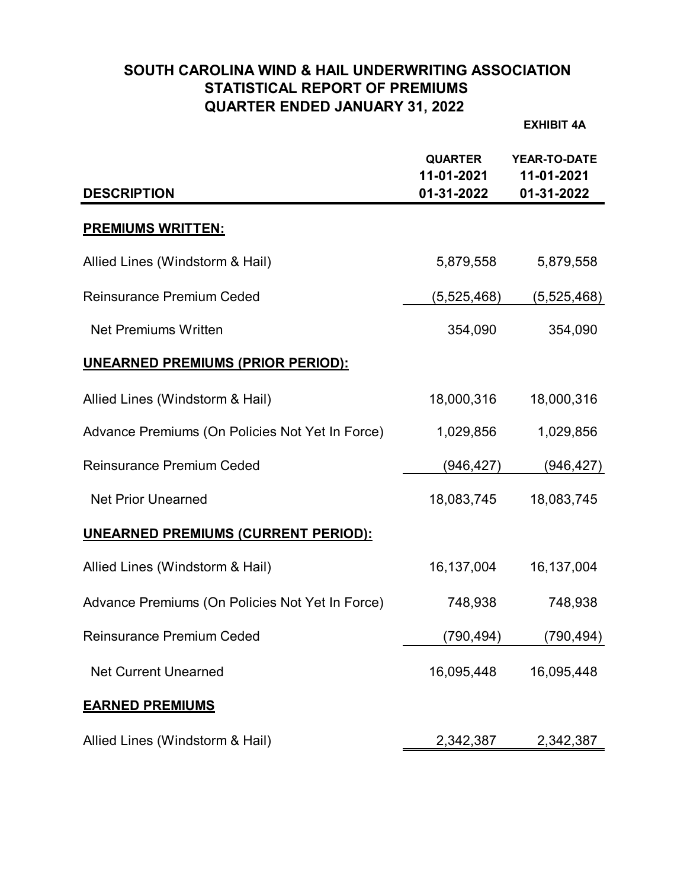# **SOUTH CAROLINA WIND & HAIL UNDERWRITING ASSOCIATION STATISTICAL REPORT OF PREMIUMS QUARTER ENDED JANUARY 31, 2022**

**EXHIBIT 4A**

| <b>DESCRIPTION</b>                              | <b>QUARTER</b><br>11-01-2021<br>01-31-2022 | YEAR-TO-DATE<br>11-01-2021<br>01-31-2022 |
|-------------------------------------------------|--------------------------------------------|------------------------------------------|
| <u>PREMIUMS WRITTEN:</u>                        |                                            |                                          |
| Allied Lines (Windstorm & Hail)                 | 5,879,558                                  | 5,879,558                                |
| <b>Reinsurance Premium Ceded</b>                | (5,525,468)                                | (5,525,468)                              |
| <b>Net Premiums Written</b>                     | 354,090                                    | 354,090                                  |
| <b>UNEARNED PREMIUMS (PRIOR PERIOD):</b>        |                                            |                                          |
| Allied Lines (Windstorm & Hail)                 | 18,000,316                                 | 18,000,316                               |
| Advance Premiums (On Policies Not Yet In Force) | 1,029,856                                  | 1,029,856                                |
| <b>Reinsurance Premium Ceded</b>                | (946, 427)                                 | (946,427)                                |
| <b>Net Prior Unearned</b>                       | 18,083,745                                 | 18,083,745                               |
| <b>UNEARNED PREMIUMS (CURRENT PERIOD):</b>      |                                            |                                          |
| Allied Lines (Windstorm & Hail)                 | 16,137,004                                 | 16,137,004                               |
| Advance Premiums (On Policies Not Yet In Force) | 748,938                                    | 748,938                                  |
| <b>Reinsurance Premium Ceded</b>                | (790,494)                                  | (790,494)                                |
| <b>Net Current Unearned</b>                     | 16,095,448                                 | 16,095,448                               |
| <b>EARNED PREMIUMS</b>                          |                                            |                                          |
| Allied Lines (Windstorm & Hail)                 | 2,342,387                                  | 2,342,387                                |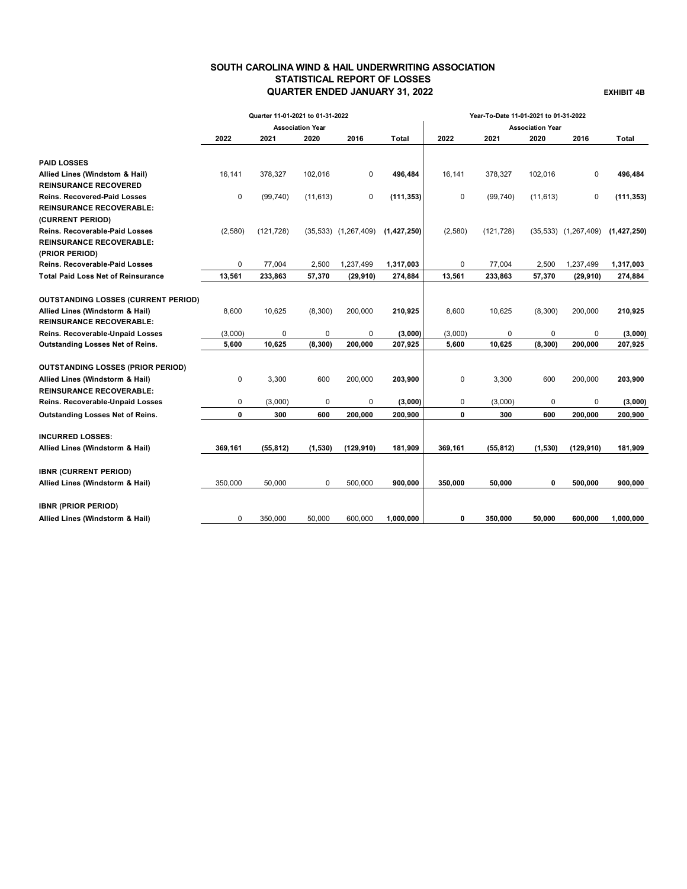## **SOUTH CAROLINA WIND & HAIL UNDERWRITING ASSOCIATION STATISTICAL REPORT OF LOSSES QUARTER ENDED JANUARY 31, 2022 EXHIBIT 4B**

|                                            | Quarter 11-01-2021 to 01-31-2022 |            |             |                          |               | Year-To-Date 11-01-2021 to 01-31-2022 |            |           |                          |             |
|--------------------------------------------|----------------------------------|------------|-------------|--------------------------|---------------|---------------------------------------|------------|-----------|--------------------------|-------------|
|                                            | <b>Association Year</b>          |            |             |                          |               | <b>Association Year</b>               |            |           |                          |             |
|                                            | 2022                             | 2021       | 2020        | 2016                     | Total         | 2022                                  | 2021       | 2020      | 2016                     | Total       |
| <b>PAID LOSSES</b>                         |                                  |            |             |                          |               |                                       |            |           |                          |             |
| Allied Lines (Windstom & Hail)             | 16,141                           | 378,327    | 102,016     | 0                        | 496,484       | 16,141                                | 378,327    | 102,016   | 0                        | 496,484     |
| <b>REINSURANCE RECOVERED</b>               |                                  |            |             |                          |               |                                       |            |           |                          |             |
| <b>Reins. Recovered-Paid Losses</b>        | $\Omega$                         | (99, 740)  | (11, 613)   | 0                        | (111, 353)    | 0                                     | (99, 740)  | (11, 613) | 0                        | (111, 353)  |
| <b>REINSURANCE RECOVERABLE:</b>            |                                  |            |             |                          |               |                                       |            |           |                          |             |
| (CURRENT PERIOD)                           |                                  |            |             |                          |               |                                       |            |           |                          |             |
| <b>Reins. Recoverable-Paid Losses</b>      | (2,580)                          | (121, 728) |             | $(35,533)$ $(1,267,409)$ | (1, 427, 250) | (2,580)                               | (121, 728) |           | $(35,533)$ $(1,267,409)$ | (1,427,250) |
| <b>REINSURANCE RECOVERABLE:</b>            |                                  |            |             |                          |               |                                       |            |           |                          |             |
| (PRIOR PERIOD)                             |                                  |            |             |                          |               |                                       |            |           |                          |             |
| <b>Reins. Recoverable-Paid Losses</b>      | 0                                | 77,004     | 2,500       | 1,237,499                | 1,317,003     | 0                                     | 77,004     | 2,500     | 1,237,499                | 1,317,003   |
| <b>Total Paid Loss Net of Reinsurance</b>  | 13,561                           | 233,863    | 57,370      | (29, 910)                | 274,884       | 13,561                                | 233,863    | 57,370    | (29, 910)                | 274,884     |
| <b>OUTSTANDING LOSSES (CURRENT PERIOD)</b> |                                  |            |             |                          |               |                                       |            |           |                          |             |
| Allied Lines (Windstorm & Hail)            | 8,600                            | 10,625     | (8,300)     | 200,000                  | 210,925       | 8,600                                 | 10,625     | (8,300)   | 200,000                  | 210,925     |
| <b>REINSURANCE RECOVERABLE:</b>            |                                  |            |             |                          |               |                                       |            |           |                          |             |
| Reins. Recoverable-Unpaid Losses           | (3,000)                          | 0          | 0           | 0                        | (3,000)       | (3,000)                               | 0          | 0         | 0                        | (3,000)     |
| Outstanding Losses Net of Reins.           | 5,600                            | 10,625     | (8, 300)    | 200,000                  | 207,925       | 5,600                                 | 10,625     | (8, 300)  | 200,000                  | 207,925     |
|                                            |                                  |            |             |                          |               |                                       |            |           |                          |             |
| <b>OUTSTANDING LOSSES (PRIOR PERIOD)</b>   |                                  |            |             |                          |               |                                       |            |           |                          |             |
| Allied Lines (Windstorm & Hail)            | 0                                | 3,300      | 600         | 200,000                  | 203,900       | 0                                     | 3,300      | 600       | 200,000                  | 203,900     |
| <b>REINSURANCE RECOVERABLE:</b>            |                                  |            |             |                          |               |                                       |            |           |                          |             |
| Reins. Recoverable-Unpaid Losses           | 0                                | (3,000)    | $\mathbf 0$ | $\mathbf 0$              | (3,000)       | 0                                     | (3,000)    | 0         | 0                        | (3,000)     |
| Outstanding Losses Net of Reins.           | 0                                | 300        | 600         | 200,000                  | 200,900       | 0                                     | 300        | 600       | 200,000                  | 200,900     |
| <b>INCURRED LOSSES:</b>                    |                                  |            |             |                          |               |                                       |            |           |                          |             |
| Allied Lines (Windstorm & Hail)            | 369,161                          | (55, 812)  | (1,530)     | (129, 910)               | 181,909       | 369,161                               | (55, 812)  | (1, 530)  | (129, 910)               | 181,909     |
|                                            |                                  |            |             |                          |               |                                       |            |           |                          |             |
| <b>IBNR (CURRENT PERIOD)</b>               |                                  |            |             |                          |               |                                       |            |           |                          |             |
| Allied Lines (Windstorm & Hail)            | 350,000                          | 50,000     | 0           | 500,000                  | 900,000       | 350,000                               | 50,000     | 0         | 500,000                  | 900,000     |
| <b>IBNR (PRIOR PERIOD)</b>                 |                                  |            |             |                          |               |                                       |            |           |                          |             |
| Allied Lines (Windstorm & Hail)            | 0                                | 350,000    | 50,000      | 600,000                  | 1,000,000     | 0                                     | 350,000    | 50,000    | 600,000                  | 1,000,000   |
|                                            |                                  |            |             |                          |               |                                       |            |           |                          |             |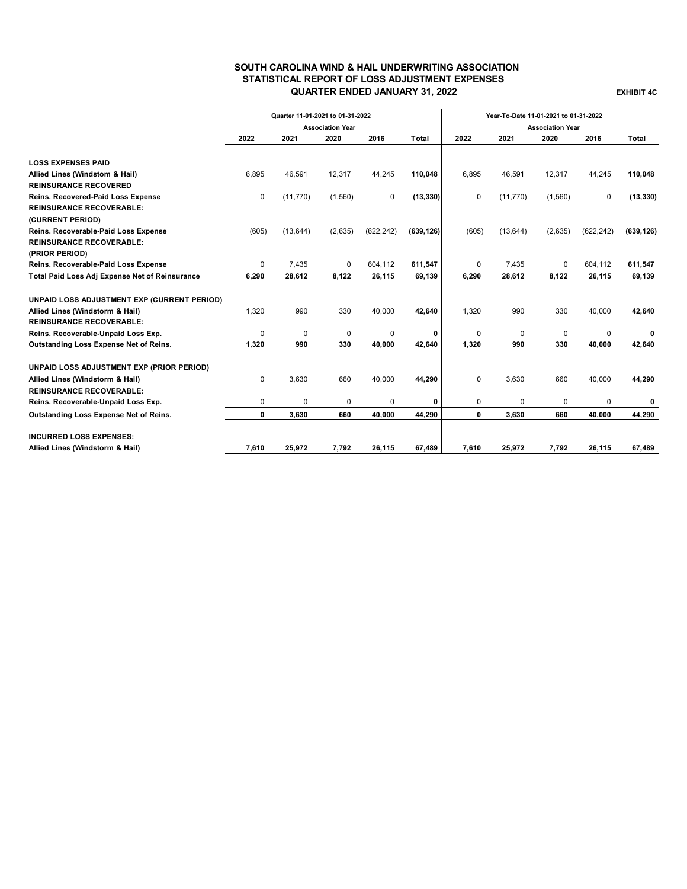### **SOUTH CAROLINA WIND & HAIL UNDERWRITING ASSOCIATION STATISTICAL REPORT OF LOSS ADJUSTMENT EXPENSES QUARTER ENDED JANUARY 31, 2022 EXHIBIT 4C**

|                                                | Quarter 11-01-2021 to 01-31-2022<br><b>Association Year</b> |           |         |            |            | Year-To-Date 11-01-2021 to 01-31-2022 |           |             |            |            |
|------------------------------------------------|-------------------------------------------------------------|-----------|---------|------------|------------|---------------------------------------|-----------|-------------|------------|------------|
|                                                |                                                             |           |         |            |            | <b>Association Year</b>               |           |             |            |            |
|                                                | 2022                                                        | 2021      | 2020    | 2016       | Total      | 2022                                  | 2021      | 2020        | 2016       | Total      |
|                                                |                                                             |           |         |            |            |                                       |           |             |            |            |
| <b>LOSS EXPENSES PAID</b>                      |                                                             |           |         |            |            |                                       |           |             |            |            |
| Allied Lines (Windstom & Hail)                 | 6.895                                                       | 46.591    | 12,317  | 44,245     | 110,048    | 6.895                                 | 46.591    | 12,317      | 44,245     | 110,048    |
| <b>REINSURANCE RECOVERED</b>                   |                                                             |           |         |            |            |                                       |           |             |            |            |
| Reins. Recovered-Paid Loss Expense             | 0                                                           | (11, 770) | (1,560) | 0          | (13, 330)  | 0                                     | (11, 770) | (1,560)     | 0          | (13, 330)  |
| <b>REINSURANCE RECOVERABLE:</b>                |                                                             |           |         |            |            |                                       |           |             |            |            |
| (CURRENT PERIOD)                               |                                                             |           |         |            |            |                                       |           |             |            |            |
| Reins. Recoverable-Paid Loss Expense           | (605)                                                       | (13, 644) | (2,635) | (622, 242) | (639, 126) | (605)                                 | (13, 644) | (2,635)     | (622, 242) | (639, 126) |
| <b>REINSURANCE RECOVERABLE:</b>                |                                                             |           |         |            |            |                                       |           |             |            |            |
| (PRIOR PERIOD)                                 |                                                             |           |         |            |            |                                       |           |             |            |            |
| Reins. Recoverable-Paid Loss Expense           | 0                                                           | 7,435     | 0       | 604,112    | 611,547    | $\mathbf 0$                           | 7,435     | $\Omega$    | 604,112    | 611,547    |
| Total Paid Loss Adj Expense Net of Reinsurance | 6,290                                                       | 28,612    | 8,122   | 26,115     | 69,139     | 6,290                                 | 28,612    | 8,122       | 26,115     | 69,139     |
| UNPAID LOSS ADJUSTMENT EXP (CURRENT PERIOD)    |                                                             |           |         |            |            |                                       |           |             |            |            |
| Allied Lines (Windstorm & Hail)                | 1,320                                                       | 990       | 330     | 40,000     | 42,640     | 1,320                                 | 990       | 330         | 40,000     | 42,640     |
| <b>REINSURANCE RECOVERABLE:</b>                |                                                             |           |         |            |            |                                       |           |             |            |            |
| Reins. Recoverable-Unpaid Loss Exp.            | 0                                                           | 0         | 0       | 0          | 0          | $\mathbf 0$                           | 0         | $\mathbf 0$ | $\Omega$   | 0          |
| Outstanding Loss Expense Net of Reins.         | 1.320                                                       | 990       | 330     | 40.000     | 42.640     | 1,320                                 | 990       | 330         | 40,000     | 42,640     |
| UNPAID LOSS ADJUSTMENT EXP (PRIOR PERIOD)      |                                                             |           |         |            |            |                                       |           |             |            |            |
| Allied Lines (Windstorm & Hail)                | $\mathbf 0$                                                 | 3,630     | 660     | 40,000     | 44,290     | 0                                     | 3,630     | 660         | 40,000     | 44,290     |
| <b>REINSURANCE RECOVERABLE:</b>                |                                                             |           |         |            |            |                                       |           |             |            |            |
| Reins. Recoverable-Unpaid Loss Exp.            | 0                                                           | $\Omega$  | 0       | 0          | 0          | 0                                     | 0         | $\Omega$    | $\Omega$   | 0          |
| Outstanding Loss Expense Net of Reins.         | 0                                                           | 3,630     | 660     | 40,000     | 44,290     | $\mathbf{0}$                          | 3,630     | 660         | 40,000     | 44,290     |
| <b>INCURRED LOSS EXPENSES:</b>                 |                                                             |           |         |            |            |                                       |           |             |            |            |
| Allied Lines (Windstorm & Hail)                | 7,610                                                       | 25,972    | 7,792   | 26,115     | 67,489     | 7,610                                 | 25,972    | 7,792       | 26,115     | 67,489     |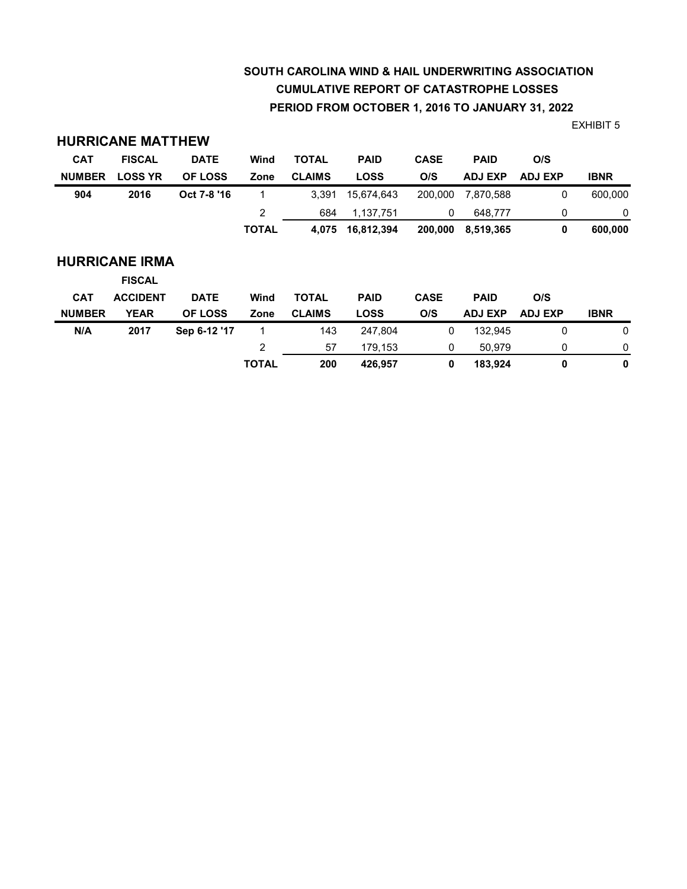# **SOUTH CAROLINA WIND & HAIL UNDERWRITING ASSOCIATION CUMULATIVE REPORT OF CATASTROPHE LOSSES PERIOD FROM OCTOBER 1, 2016 TO JANUARY 31, 2022**

EXHIBIT 5

| <b>CAT</b>    | <b>FISCAL</b>                          | <b>DATE</b>    | Wind         | <b>TOTAL</b>  | <b>PAID</b> | <b>CASE</b> | <b>PAID</b>    | O/S            |             |
|---------------|----------------------------------------|----------------|--------------|---------------|-------------|-------------|----------------|----------------|-------------|
| <b>NUMBER</b> | <b>LOSS YR</b>                         | <b>OF LOSS</b> | Zone         | <b>CLAIMS</b> | <b>LOSS</b> | O/S         | <b>ADJ EXP</b> | <b>ADJ EXP</b> | <b>IBNR</b> |
| 904           | 2016                                   | Oct 7-8 '16    |              | 3,391         | 15,674,643  | 200.000     | 7.870.588      | 0              | 600,000     |
|               |                                        |                | 2            | 684           | 1,137,751   | 0           | 648,777        | 0              | 0           |
|               |                                        |                | <b>TOTAL</b> | 4,075         | 16,812,394  | 200,000     | 8,519,365      | 0              | 600,000     |
|               | <b>HURRICANE IRMA</b><br><b>FISCAL</b> |                |              |               |             |             |                |                |             |
| <b>CAT</b>    | <b>ACCIDENT</b>                        | <b>DATE</b>    | Wind         | <b>TOTAL</b>  | <b>PAID</b> | <b>CASE</b> | <b>PAID</b>    | O/S            |             |
| <b>NUMBER</b> | <b>YEAR</b>                            | <b>OF LOSS</b> | Zone         | <b>CLAIMS</b> | <b>LOSS</b> | O/S         | <b>ADJ EXP</b> | <b>ADJ EXP</b> | <b>IBNR</b> |
| N/A           | 2017                                   | Sep 6-12 '17   | 1            | 143           | 247,804     | 0           | 132.945        | 0              | 0           |
|               |                                        |                | 2            | 57            | 179,153     | 0           | 50,979         | 0              | 0           |
|               |                                        |                | <b>TOTAL</b> | 200           | 426,957     | 0           | 183,924        | 0              | 0           |

**HURRICANE MATTHEW**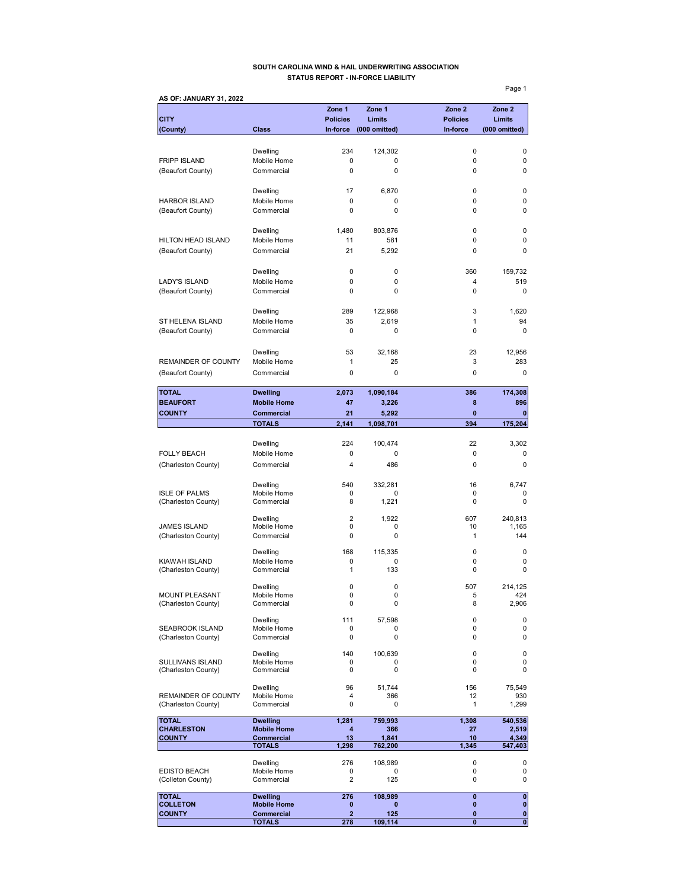#### **SOUTH CAROLINA WIND & HAIL UNDERWRITING ASSOCIATION STATUS REPORT - IN-FORCE LIABILITY**

**AS OF: JANUARY 31, 2022 Zone 1 Zone 1 Zone 2 Zone 2 CITY Policies Limits Policies Limits (County) Class In-force (000 omitted) In-force (000 omitted)** Dwelling 234 124,302 0 0 FRIPP ISLAND Mobile Home 0 0 0 0 (Beaufort County) Commercial 0 0 0 0 Dwelling 17 6,870 0 0 HARBOR ISLAND Mobile Home 0 0 0 0 (Beaufort County) Commercial 0 0 0 Dwelling 1,480 803,876 0 0 HILTON HEAD ISLAND Mobile Home 11 581 0 0 0 (Beaufort County) Commercial 21 5,292 0 0 Dwelling 0 0 360 159,732 LADY'S ISLAND Mobile Home 0 0 0 4 519<br>
(Beaufort County) Commercial 0 0 0 0 0 (Beaufort County) Commercial 0 0 0 0 Dwelling 289 122,968 3 1,620 ST HELENA ISLAND Mobile Home 35 2,619 1 94 (Beaufort County) Commercial 0 0 0 0 Dwelling 53 32,168 23 12,956 REMAINDER OF COUNTY Mobile Home  $\begin{array}{cccc} 1 & 25 & 3 & 283 \end{array}$ (Beaufort County) Commercial 0 0 0 0 **TOTAL Dwelling 2,073 1,090,184 386 174,308 BEAUFORT** Mobile Home **47** 3,226 8 896 **COUNTY Commercial 21 5,292 0 0 TOTALS 2,141 1,098,701 394 175,204** Dwelling 224 100,474 22 3,302 FOLLY BEACH Mobile Home 0 0 0 0 0 0 0 0 (Charleston County) Commercial 4 486 0 0 0 0 Dwelling 6,747 540 332,281 56,747 ISLE OF PALMS Mobile Home 0 0 0 0 (Charleston County) Commercial 8 1,221 0 0 0 Dwelling 2 1,922 607 240,813 JAMES ISLAND Mobile Home 0 0 10 1,165 (Charleston County) Commercial 0 0 0 1 1 144 Dwelling 168 115,335 0 0 0 KIAWAH ISLAND Mobile Home 0 0 0 0 (Charleston County) Commercial 1 133 0 0 0 Dwelling 0 0 507 214,125 MOUNT PLEASANT Mobile Home 0 0 0 5 424<br>
(Charleston County) Commercial 0 0 0 8 2,906 (Charleston County) Dwelling 111 57,598 0 0 SEABROOK ISLAND Mobile Home 0 0 0 0 0<br>
(Charleston County) Commercial 0 0 0 0 0 (Charleston County) Dwelling 140 100,639 0 0 SULLIVANS ISLAND Mobile Home 0 0 0 0 0<br>
(Charleston County) Commercial 0 0 0 0 0 0 (Charleston County) Dwelling 96 51,744 156 75,549 REMAINDER OF COUNTY Mobile Home  $\begin{array}{cccc} 4 & 366 & 12 & 930 \\ 4 & 0 & 0 & 1 & 1,299 \end{array}$ (Charleston County) TOTAL **Dwelling 1,281 759,993** 1,308 540,536<br>CHARLESTON Mobile Home 4 366 27 2,519 **CHARLESTON Mobile Home 4 366 27 2,519<br>
COUNTY Commercial 13 1,841 10 4,349 COUNTY Commercial 13 1,841 10 4,349 TOTALS 1,298 762,200 1,345 547,403** Dwelling 276 108,989 0 0 EDISTO BEACH Mobile Home 0 0 0 0 0 0<br>
(Colleton County) Commercial 2 125 0 0 (Colleton County) **TOTAL Dwelling 276 108,989 0 0 COLLETON Mobile Home 0 0 0 0 COUNTY Commercial 2** 125 0 0

**TOTALS** 278 109,114 0 0 0

Page 1